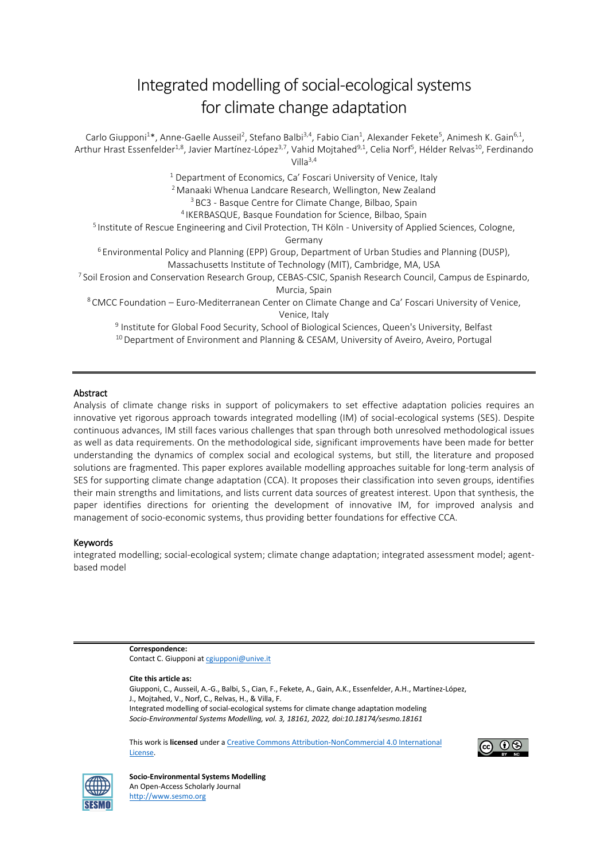# Integrated modelling of social-ecological systems for climate change adaptation

Carlo Giupponi<sup>1\*</sup>, Anne-Gaelle Ausseil<sup>2</sup>, Stefano Balbi<sup>3,4</sup>, Fabio Cian<sup>1</sup>, Alexander Fekete<sup>5</sup>, Animesh K. Gain<sup>6,1</sup>, Arthur Hrast Essenfelder<sup>1,8</sup>, Javier Martínez-López<sup>3,7</sup>, Vahid Mojtahed<sup>9,1</sup>, Celia Norf<sup>5</sup>, Hélder Relvas<sup>10</sup>, Ferdinando Villa $3,4$ <sup>1</sup> Department of Economics, Ca' Foscari University of Venice, Italy <sup>2</sup> Manaaki Whenua Landcare Research, Wellington, New Zealand <sup>3</sup> BC3 - Basque Centre for Climate Change, Bilbao, Spain <sup>4</sup>IKERBASQUE, Basque Foundation for Science, Bilbao, Spain <sup>5</sup> Institute of Rescue Engineering and Civil Protection, TH Köln - University of Applied Sciences, Cologne, Germany <sup>6</sup> Environmental Policy and Planning (EPP) Group, Department of Urban Studies and Planning (DUSP), Massachusetts Institute of Technology (MIT), Cambridge, MA, USA <sup>7</sup> Soil Erosion and Conservation Research Group, CEBAS-CSIC, Spanish Research Council, Campus de Espinardo, Murcia, Spain <sup>8</sup> CMCC Foundation – Euro-Mediterranean Center on Climate Change and Ca' Foscari University of Venice, Venice, Italy 9 Institute for Global Food Security, School of Biological Sciences, Queen's University, Belfast <sup>10</sup> Department of Environment and Planning & CESAM, University of Aveiro, Aveiro, Portugal

#### Abstract

Analysis of climate change risks in support of policymakers to set effective adaptation policies requires an innovative yet rigorous approach towards integrated modelling (IM) of social-ecological systems (SES). Despite continuous advances, IM still faces various challenges that span through both unresolved methodological issues as well as data requirements. On the methodological side, significant improvements have been made for better understanding the dynamics of complex social and ecological systems, but still, the literature and proposed solutions are fragmented. This paper explores available modelling approaches suitable for long-term analysis of SES for supporting climate change adaptation (CCA). It proposes their classification into seven groups, identifies their main strengths and limitations, and lists current data sources of greatest interest. Upon that synthesis, the paper identifies directions for orienting the development of innovative IM, for improved analysis and management of socio-economic systems, thus providing better foundations for effective CCA.

#### Keywords

integrated modelling; social-ecological system; climate change adaptation; integrated assessment model; agentbased model

> **Correspondence:**  Contact C. Giupponi at caiupponi@unive.it

**Cite this article as:**

Giupponi, C., Ausseil, A.-G., Balbi, S., Cian, F., Fekete, A., Gain, A.K., Essenfelder, A.H., Martínez-López, J., Mojtahed, V., Norf, C., Relvas, H., & Villa, F. Integrated modelling of social-ecological systems for climate change adaptation modeling *Socio-Environmental Systems Modelling, vol. 3, 18161, 2022, doi:10.18174/sesmo.18161*

This work is **licensed** under [a Creative Commons Attribution-NonCommercial](http://creativecommons.org/licenses/by-nc/4.0/) 4.0 International [License.](http://creativecommons.org/licenses/by-nc/4.0/)



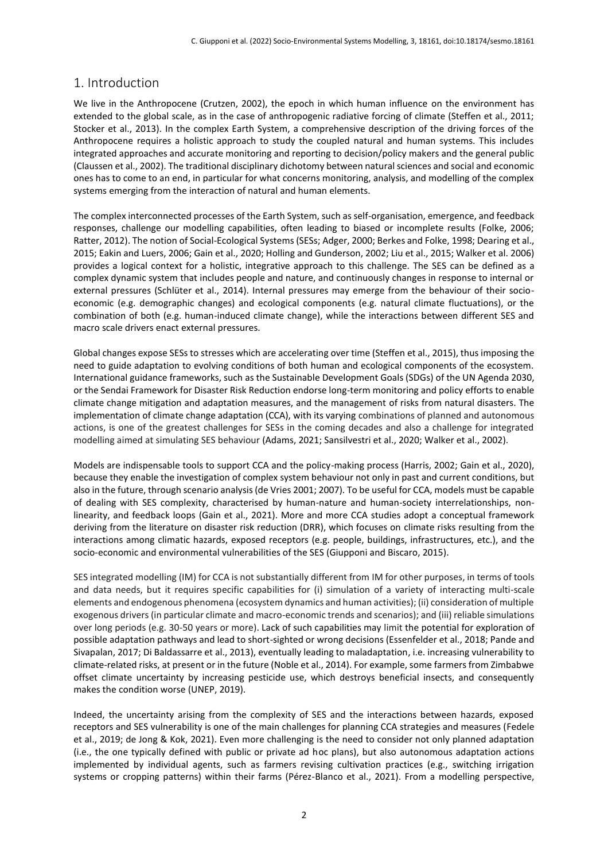# 1. Introduction

We live in the Anthropocene (Crutzen, 2002), the epoch in which human influence on the environment has extended to the global scale, as in the case of anthropogenic radiative forcing of climate (Steffen et al., 2011; Stocker et al., 2013). In the complex Earth System, a comprehensive description of the driving forces of the Anthropocene requires a holistic approach to study the coupled natural and human systems. This includes integrated approaches and accurate monitoring and reporting to decision/policy makers and the general public (Claussen et al., 2002). The traditional disciplinary dichotomy between natural sciences and social and economic ones has to come to an end, in particular for what concerns monitoring, analysis, and modelling of the complex systems emerging from the interaction of natural and human elements.

The complex interconnected processes of the Earth System, such as self-organisation, emergence, and feedback responses, challenge our modelling capabilities, often leading to biased or incomplete results (Folke, 2006; Ratter, 2012). The notion of Social-Ecological Systems (SESs; Adger, 2000; Berkes and Folke, 1998; Dearing et al., 2015; Eakin and Luers, 2006; Gain et al., 2020; Holling and Gunderson, 2002; Liu et al., 2015; Walker et al. 2006) provides a logical context for a holistic, integrative approach to this challenge. The SES can be defined as a complex dynamic system that includes people and nature, and continuously changes in response to internal or external pressures (Schlüter et al., 2014). Internal pressures may emerge from the behaviour of their socioeconomic (e.g. demographic changes) and ecological components (e.g. natural climate fluctuations), or the combination of both (e.g. human-induced climate change), while the interactions between different SES and macro scale drivers enact external pressures.

Global changes expose SESs to stresses which are accelerating over time (Steffen et al., 2015), thus imposing the need to guide adaptation to evolving conditions of both human and ecological components of the ecosystem. International guidance frameworks, such as the Sustainable Development Goals (SDGs) of the UN Agenda 2030, or the Sendai Framework for Disaster Risk Reduction endorse long-term monitoring and policy efforts to enable climate change mitigation and adaptation measures, and the management of risks from natural disasters. The implementation of climate change adaptation (CCA), with its varying combinations of planned and autonomous actions, is one of the greatest challenges for SESs in the coming decades and also a challenge for integrated modelling aimed at simulating SES behaviour (Adams, 2021; Sansilvestri et al., 2020; Walker et al., 2002).

Models are indispensable tools to support CCA and the policy-making process (Harris, 2002; Gain et al., 2020), because they enable the investigation of complex system behaviour not only in past and current conditions, but also in the future, through scenario analysis (de Vries 2001; 2007). To be useful for CCA, models must be capable of dealing with SES complexity, characterised by human-nature and human-society interrelationships, nonlinearity, and feedback loops (Gain et al., 2021). More and more CCA studies adopt a conceptual framework deriving from the literature on disaster risk reduction (DRR), which focuses on climate risks resulting from the interactions among climatic hazards, exposed receptors (e.g. people, buildings, infrastructures, etc.), and the socio-economic and environmental vulnerabilities of the SES (Giupponi and Biscaro, 2015).

SES integrated modelling (IM) for CCA is not substantially different from IM for other purposes, in terms of tools and data needs, but it requires specific capabilities for (i) simulation of a variety of interacting multi-scale elements and endogenous phenomena (ecosystem dynamics and human activities); (ii) consideration of multiple exogenous drivers (in particular climate and macro-economic trends and scenarios); and (iii) reliable simulations over long periods (e.g. 30-50 years or more). Lack of such capabilities may limit the potential for exploration of possible adaptation pathways and lead to short-sighted or wrong decisions (Essenfelder et al., 2018; Pande and Sivapalan, 2017; Di Baldassarre et al., 2013), eventually leading to maladaptation, i.e. increasing vulnerability to climate-related risks, at present or in the future (Noble et al., 2014). For example, some farmers from Zimbabwe offset climate uncertainty by increasing pesticide use, which destroys beneficial insects, and consequently makes the condition worse (UNEP, 2019).

Indeed, the uncertainty arising from the complexity of SES and the interactions between hazards, exposed receptors and SES vulnerability is one of the main challenges for planning CCA strategies and measures (Fedele et al., 2019; de Jong & Kok, 2021). Even more challenging is the need to consider not only planned adaptation (i.e., the one typically defined with public or private ad hoc plans), but also autonomous adaptation actions implemented by individual agents, such as farmers revising cultivation practices (e.g., switching irrigation systems or cropping patterns) within their farms (Pérez-Blanco et al., 2021). From a modelling perspective,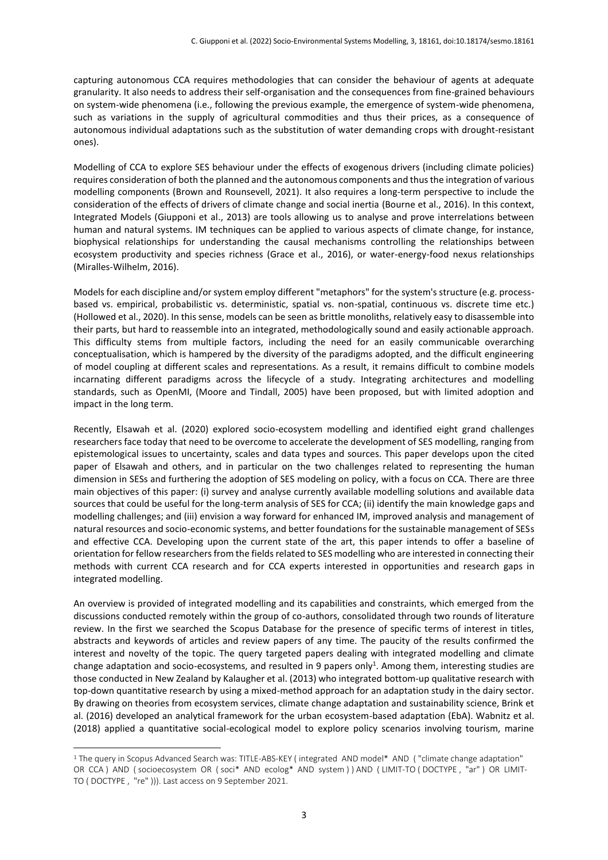capturing autonomous CCA requires methodologies that can consider the behaviour of agents at adequate granularity. It also needs to address their self-organisation and the consequences from fine-grained behaviours on system-wide phenomena (i.e., following the previous example, the emergence of system-wide phenomena, such as variations in the supply of agricultural commodities and thus their prices, as a consequence of autonomous individual adaptations such as the substitution of water demanding crops with drought-resistant ones).

Modelling of CCA to explore SES behaviour under the effects of exogenous drivers (including climate policies) requires consideration of both the planned and the autonomous components and thus the integration of various modelling components (Brown and Rounsevell, 2021). It also requires a long-term perspective to include the consideration of the effects of drivers of climate change and social inertia (Bourne et al., 2016). In this context, Integrated Models (Giupponi et al., 2013) are tools allowing us to analyse and prove interrelations between human and natural systems. IM techniques can be applied to various aspects of climate change, for instance, biophysical relationships for understanding the causal mechanisms controlling the relationships between ecosystem productivity and species richness (Grace et al., 2016), or water-energy-food nexus relationships (Miralles-Wilhelm, 2016).

Models for each discipline and/or system employ different "metaphors" for the system's structure (e.g. processbased vs. empirical, probabilistic vs. deterministic, spatial vs. non-spatial, continuous vs. discrete time etc.) (Hollowed et al., 2020). In this sense, models can be seen as brittle monoliths, relatively easy to disassemble into their parts, but hard to reassemble into an integrated, methodologically sound and easily actionable approach. This difficulty stems from multiple factors, including the need for an easily communicable overarching conceptualisation, which is hampered by the diversity of the paradigms adopted, and the difficult engineering of model coupling at different scales and representations. As a result, it remains difficult to combine models incarnating different paradigms across the lifecycle of a study. Integrating architectures and modelling standards, such as OpenMI, (Moore and Tindall, 2005) have been proposed, but with limited adoption and impact in the long term.

Recently, Elsawah et al. (2020) explored socio-ecosystem modelling and identified eight grand challenges researchers face today that need to be overcome to accelerate the development of SES modelling, ranging from epistemological issues to uncertainty, scales and data types and sources. This paper develops upon the cited paper of Elsawah and others, and in particular on the two challenges related to representing the human dimension in SESs and furthering the adoption of SES modeling on policy, with a focus on CCA. There are three main objectives of this paper: (i) survey and analyse currently available modelling solutions and available data sources that could be useful for the long-term analysis of SES for CCA; (ii) identify the main knowledge gaps and modelling challenges; and (iii) envision a way forward for enhanced IM, improved analysis and management of natural resources and socio-economic systems, and better foundations for the sustainable management of SESs and effective CCA. Developing upon the current state of the art, this paper intends to offer a baseline of orientation for fellow researchers from the fields related to SES modelling who are interested in connecting their methods with current CCA research and for CCA experts interested in opportunities and research gaps in integrated modelling.

An overview is provided of integrated modelling and its capabilities and constraints, which emerged from the discussions conducted remotely within the group of co-authors, consolidated through two rounds of literature review. In the first we searched the Scopus Database for the presence of specific terms of interest in titles, abstracts and keywords of articles and review papers of any time. The paucity of the results confirmed the interest and novelty of the topic. The query targeted papers dealing with integrated modelling and climate change adaptation and socio-ecosystems, and resulted in 9 papers only<sup>1</sup>. Among them, interesting studies are those conducted in New Zealand by Kalaugher et al. (2013) who integrated bottom-up qualitative research with top-down quantitative research by using a mixed-method approach for an adaptation study in the dairy sector. By drawing on theories from ecosystem services, climate change adaptation and sustainability science, Brink et al. (2016) developed an analytical framework for the urban ecosystem-based adaptation (EbA). Wabnitz et al. (2018) applied a quantitative social-ecological model to explore policy scenarios involving tourism, marine

 $\overline{a}$ 

<sup>1</sup> The query in Scopus Advanced Search was: TITLE-ABS-KEY ( integrated AND model\* AND ( "climate change adaptation" OR CCA ) AND ( socioecosystem OR ( soci\* AND ecolog\* AND system ) ) AND ( LIMIT-TO ( DOCTYPE , "ar" ) OR LIMIT-TO ( DOCTYPE , "re" ))). Last access on 9 September 2021.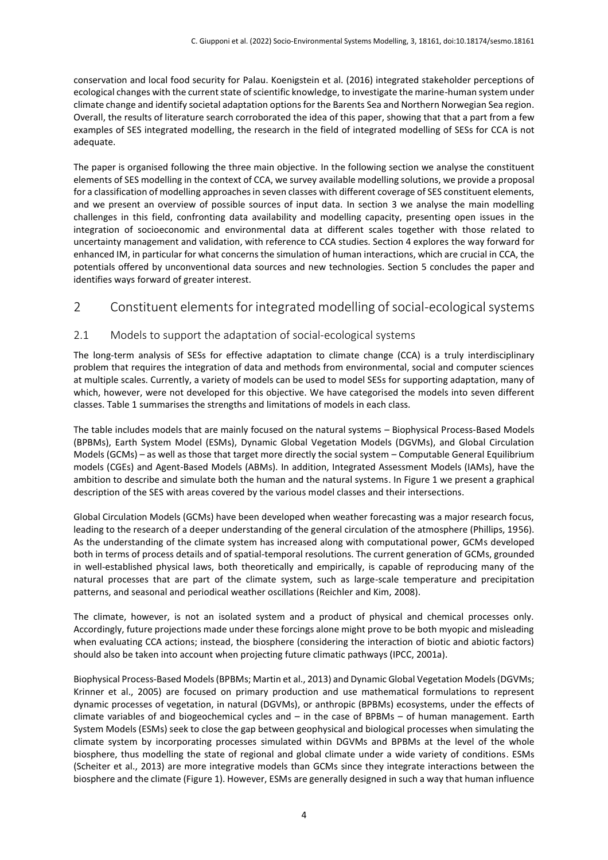conservation and local food security for Palau. Koenigstein et al. (2016) integrated stakeholder perceptions of ecological changes with the current state of scientific knowledge, to investigate the marine-human system under climate change and identify societal adaptation options for the Barents Sea and Northern Norwegian Sea region. Overall, the results of literature search corroborated the idea of this paper, showing that that a part from a few examples of SES integrated modelling, the research in the field of integrated modelling of SESs for CCA is not adequate.

The paper is organised following the three main objective. In the following section we analyse the constituent elements of SES modelling in the context of CCA, we survey available modelling solutions, we provide a proposal for a classification of modelling approaches in seven classes with different coverage of SES constituent elements, and we present an overview of possible sources of input data. In section 3 we analyse the main modelling challenges in this field, confronting data availability and modelling capacity, presenting open issues in the integration of socioeconomic and environmental data at different scales together with those related to uncertainty management and validation, with reference to CCA studies. Section 4 explores the way forward for enhanced IM, in particular for what concerns the simulation of human interactions, which are crucial in CCA, the potentials offered by unconventional data sources and new technologies. Section 5 concludes the paper and identifies ways forward of greater interest.

# 2 Constituent elements for integrated modelling of social-ecological systems

### 2.1 Models to support the adaptation of social-ecological systems

The long-term analysis of SESs for effective adaptation to climate change (CCA) is a truly interdisciplinary problem that requires the integration of data and methods from environmental, social and computer sciences at multiple scales. Currently, a variety of models can be used to model SESs for supporting adaptation, many of which, however, were not developed for this objective. We have categorised the models into seven different classes. Table 1 summarises the strengths and limitations of models in each class.

The table includes models that are mainly focused on the natural systems – Biophysical Process-Based Models (BPBMs), Earth System Model (ESMs), Dynamic Global Vegetation Models (DGVMs), and Global Circulation Models (GCMs) – as well as those that target more directly the social system – Computable General Equilibrium models (CGEs) and Agent-Based Models (ABMs). In addition, Integrated Assessment Models (IAMs), have the ambition to describe and simulate both the human and the natural systems. In Figure 1 we present a graphical description of the SES with areas covered by the various model classes and their intersections.

Global Circulation Models (GCMs) have been developed when weather forecasting was a major research focus, leading to the research of a deeper understanding of the general circulation of the atmosphere (Phillips, 1956). As the understanding of the climate system has increased along with computational power, GCMs developed both in terms of process details and of spatial-temporal resolutions. The current generation of GCMs, grounded in well-established physical laws, both theoretically and empirically, is capable of reproducing many of the natural processes that are part of the climate system, such as large-scale temperature and precipitation patterns, and seasonal and periodical weather oscillations (Reichler and Kim, 2008).

The climate, however, is not an isolated system and a product of physical and chemical processes only. Accordingly, future projections made under these forcings alone might prove to be both myopic and misleading when evaluating CCA actions; instead, the biosphere (considering the interaction of biotic and abiotic factors) should also be taken into account when projecting future climatic pathways (IPCC, 2001a).

Biophysical Process-Based Models (BPBMs; Martin et al., 2013) and Dynamic Global Vegetation Models (DGVMs; Krinner et al., 2005) are focused on primary production and use mathematical formulations to represent dynamic processes of vegetation, in natural (DGVMs), or anthropic (BPBMs) ecosystems, under the effects of climate variables of and biogeochemical cycles and – in the case of BPBMs – of human management. Earth System Models (ESMs) seek to close the gap between geophysical and biological processes when simulating the climate system by incorporating processes simulated within DGVMs and BPBMs at the level of the whole biosphere, thus modelling the state of regional and global climate under a wide variety of conditions. ESMs (Scheiter et al., 2013) are more integrative models than GCMs since they integrate interactions between the biosphere and the climate (Figure 1). However, ESMs are generally designed in such a way that human influence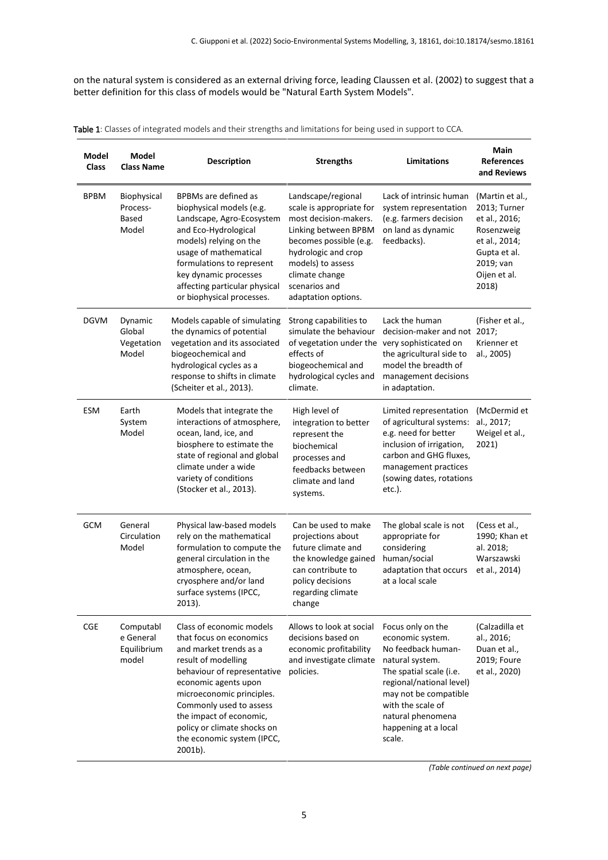on the natural system is considered as an external driving force, leading Claussen et al. (2002) to suggest that a better definition for this class of models would be "Natural Earth System Models".

| Table 1: Classes of integrated models and their strengths and limitations for being used in support to CCA. |  |
|-------------------------------------------------------------------------------------------------------------|--|
|-------------------------------------------------------------------------------------------------------------|--|

| Model<br><b>Class</b> | Model<br><b>Class Name</b>                     | <b>Description</b>                                                                                                                                                                                                                                                                                                     | <b>Strengths</b>                                                                                                                                                                                                                | <b>Limitations</b>                                                                                                                                                                                                                         | Main<br><b>References</b><br>and Reviews                                                                                              |
|-----------------------|------------------------------------------------|------------------------------------------------------------------------------------------------------------------------------------------------------------------------------------------------------------------------------------------------------------------------------------------------------------------------|---------------------------------------------------------------------------------------------------------------------------------------------------------------------------------------------------------------------------------|--------------------------------------------------------------------------------------------------------------------------------------------------------------------------------------------------------------------------------------------|---------------------------------------------------------------------------------------------------------------------------------------|
| <b>BPBM</b>           | Biophysical<br>Process-<br>Based<br>Model      | BPBMs are defined as<br>biophysical models (e.g.<br>Landscape, Agro-Ecosystem<br>and Eco-Hydrological<br>models) relying on the<br>usage of mathematical<br>formulations to represent<br>key dynamic processes<br>affecting particular physical<br>or biophysical processes.                                           | Landscape/regional<br>scale is appropriate for<br>most decision-makers.<br>Linking between BPBM<br>becomes possible (e.g.<br>hydrologic and crop<br>models) to assess<br>climate change<br>scenarios and<br>adaptation options. | Lack of intrinsic human<br>system representation<br>(e.g. farmers decision<br>on land as dynamic<br>feedbacks).                                                                                                                            | (Martin et al.,<br>2013; Turner<br>et al., 2016;<br>Rosenzweig<br>et al., 2014;<br>Gupta et al.<br>2019; van<br>Oijen et al.<br>2018) |
| <b>DGVM</b>           | Dynamic<br>Global<br>Vegetation<br>Model       | Models capable of simulating<br>the dynamics of potential<br>vegetation and its associated<br>biogeochemical and<br>hydrological cycles as a<br>response to shifts in climate<br>(Scheiter et al., 2013).                                                                                                              | Strong capabilities to<br>simulate the behaviour<br>of vegetation under the very sophisticated on<br>effects of<br>biogeochemical and<br>hydrological cycles and<br>climate.                                                    | Lack the human<br>decision-maker and not 2017;<br>the agricultural side to<br>model the breadth of<br>management decisions<br>in adaptation.                                                                                               | (Fisher et al.,<br>Krienner et<br>al., 2005)                                                                                          |
| <b>ESM</b>            | Earth<br>System<br>Model                       | Models that integrate the<br>interactions of atmosphere,<br>ocean, land, ice, and<br>biosphere to estimate the<br>state of regional and global<br>climate under a wide<br>variety of conditions<br>(Stocker et al., 2013).                                                                                             | High level of<br>integration to better<br>represent the<br>biochemical<br>processes and<br>feedbacks between<br>climate and land<br>systems.                                                                                    | Limited representation<br>of agricultural systems:<br>e.g. need for better<br>inclusion of irrigation,<br>carbon and GHG fluxes,<br>management practices<br>(sowing dates, rotations<br>$etc.$ ).                                          | (McDermid et<br>al., 2017;<br>Weigel et al.,<br>2021)                                                                                 |
| <b>GCM</b>            | General<br>Circulation<br>Model                | Physical law-based models<br>rely on the mathematical<br>formulation to compute the<br>general circulation in the<br>atmosphere, ocean,<br>cryosphere and/or land<br>surface systems (IPCC,<br>2013).                                                                                                                  | Can be used to make<br>projections about<br>future climate and<br>the knowledge gained<br>can contribute to<br>policy decisions<br>regarding climate<br>change                                                                  | The global scale is not<br>appropriate for<br>considering<br>human/social<br>adaptation that occurs<br>at a local scale                                                                                                                    | (Cess et al.,<br>1990; Khan et<br>al. 2018;<br>Warszawski<br>et al., 2014)                                                            |
| <b>CGE</b>            | Computabl<br>e General<br>Equilibrium<br>model | Class of economic models<br>that focus on economics<br>and market trends as a<br>result of modelling<br>behaviour of representative<br>economic agents upon<br>microeconomic principles.<br>Commonly used to assess<br>the impact of economic,<br>policy or climate shocks on<br>the economic system (IPCC,<br>2001b). | Allows to look at social<br>decisions based on<br>economic profitability<br>and investigate climate<br>policies.                                                                                                                | Focus only on the<br>economic system.<br>No feedback human-<br>natural system.<br>The spatial scale (i.e.<br>regional/national level)<br>may not be compatible<br>with the scale of<br>natural phenomena<br>happening at a local<br>scale. | (Calzadilla et<br>al., 2016;<br>Duan et al.,<br>2019; Foure<br>et al., 2020)                                                          |

*(Table continued on next page)*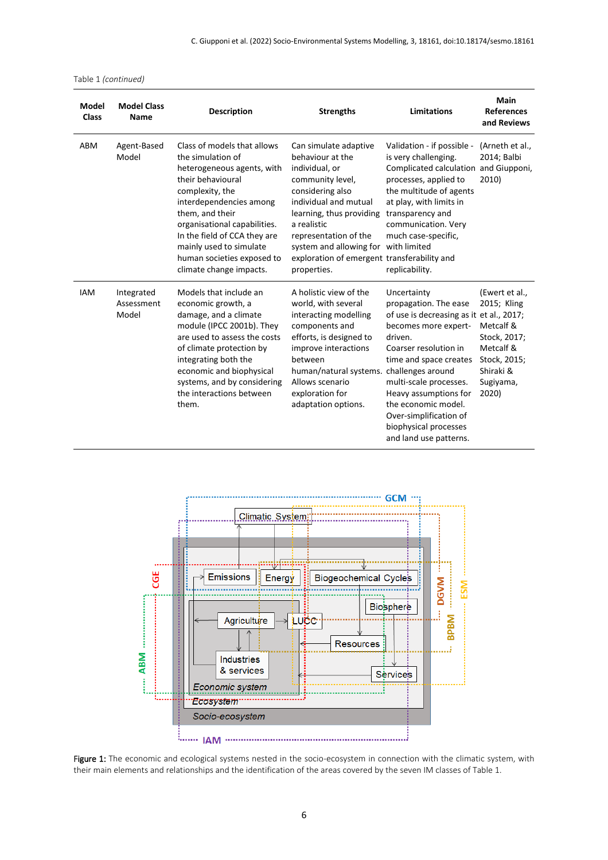| Model<br><b>Class</b> | <b>Model Class</b><br>Name        | <b>Description</b>                                                                                                                                                                                                                                                                                                       | <b>Strengths</b>                                                                                                                                                                                                                                                                          | <b>Limitations</b>                                                                                                                                                                                                                                                                                                                                 | Main<br><b>References</b><br>and Reviews                                                                                   |
|-----------------------|-----------------------------------|--------------------------------------------------------------------------------------------------------------------------------------------------------------------------------------------------------------------------------------------------------------------------------------------------------------------------|-------------------------------------------------------------------------------------------------------------------------------------------------------------------------------------------------------------------------------------------------------------------------------------------|----------------------------------------------------------------------------------------------------------------------------------------------------------------------------------------------------------------------------------------------------------------------------------------------------------------------------------------------------|----------------------------------------------------------------------------------------------------------------------------|
| ABM                   | Agent-Based<br>Model              | Class of models that allows<br>the simulation of<br>heterogeneous agents, with<br>their behavioural<br>complexity, the<br>interdependencies among<br>them, and their<br>organisational capabilities.<br>In the field of CCA they are<br>mainly used to simulate<br>human societies exposed to<br>climate change impacts. | Can simulate adaptive<br>behaviour at the<br>individual, or<br>community level,<br>considering also<br>individual and mutual<br>learning, thus providing<br>a realistic<br>representation of the<br>system and allowing for<br>exploration of emergent transferability and<br>properties. | Validation - if possible -<br>is very challenging.<br>Complicated calculation<br>processes, applied to<br>the multitude of agents<br>at play, with limits in<br>transparency and<br>communication. Very<br>much case-specific,<br>with limited<br>replicability.                                                                                   | (Arneth et al.,<br>2014; Balbi<br>and Giupponi,<br>2010)                                                                   |
| <b>IAM</b>            | Integrated<br>Assessment<br>Model | Models that include an<br>economic growth, a<br>damage, and a climate<br>module (IPCC 2001b). They<br>are used to assess the costs<br>of climate protection by<br>integrating both the<br>economic and biophysical<br>systems, and by considering<br>the interactions between<br>them.                                   | A holistic view of the<br>world, with several<br>interacting modelling<br>components and<br>efforts, is designed to<br>improve interactions<br>between<br>human/natural systems.<br>Allows scenario<br>exploration for<br>adaptation options.                                             | Uncertainty<br>propagation. The ease<br>of use is decreasing as it et al., 2017;<br>becomes more expert-<br>driven.<br>Coarser resolution in<br>time and space creates<br>challenges around<br>multi-scale processes.<br>Heavy assumptions for<br>the economic model.<br>Over-simplification of<br>biophysical processes<br>and land use patterns. | (Ewert et al.,<br>2015; Kling<br>Metcalf &<br>Stock, 2017;<br>Metcalf &<br>Stock, 2015;<br>Shiraki &<br>Sugiyama,<br>2020) |



Figure 1: The economic and ecological systems nested in the socio-ecosystem in connection with the climatic system, with their main elements and relationships and the identification of the areas covered by the seven IM classes of Table 1.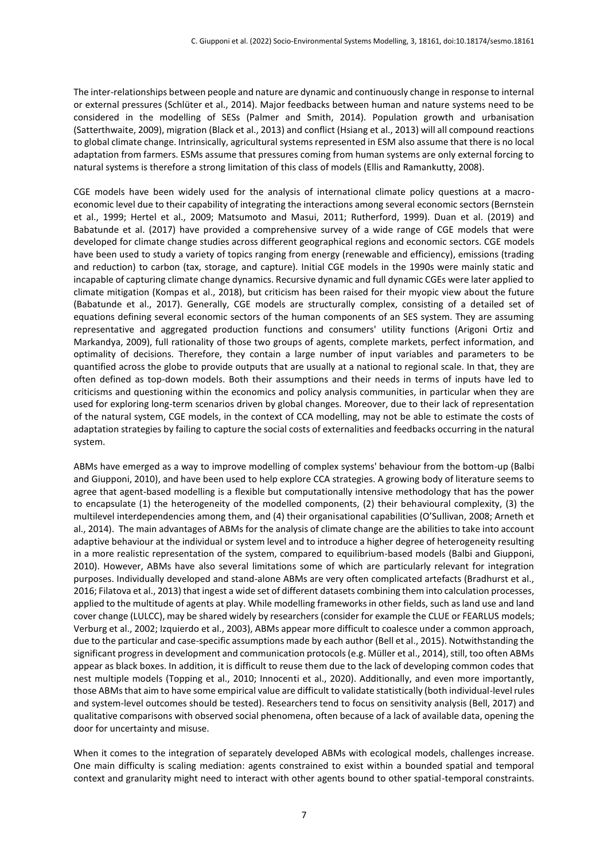The inter-relationships between people and nature are dynamic and continuously change in response to internal or external pressures (Schlüter et al., 2014). Major feedbacks between human and nature systems need to be considered in the modelling of SESs (Palmer and Smith, 2014). Population growth and urbanisation (Satterthwaite, 2009), migration (Black et al., 2013) and conflict (Hsiang et al., 2013) will all compound reactions to global climate change. Intrinsically, agricultural systems represented in ESM also assume that there is no local adaptation from farmers. ESMs assume that pressures coming from human systems are only external forcing to natural systems is therefore a strong limitation of this class of models (Ellis and Ramankutty, 2008).

CGE models have been widely used for the analysis of international climate policy questions at a macroeconomic level due to their capability of integrating the interactions among several economic sectors (Bernstein et al., 1999; Hertel et al., 2009; Matsumoto and Masui, 2011; Rutherford, 1999). Duan et al. (2019) and Babatunde et al. (2017) have provided a comprehensive survey of a wide range of CGE models that were developed for climate change studies across different geographical regions and economic sectors. CGE models have been used to study a variety of topics ranging from energy (renewable and efficiency), emissions (trading and reduction) to carbon (tax, storage, and capture). Initial CGE models in the 1990s were mainly static and incapable of capturing climate change dynamics. Recursive dynamic and full dynamic CGEs were later applied to climate mitigation (Kompas et al., 2018), but criticism has been raised for their myopic view about the future (Babatunde et al., 2017). Generally, CGE models are structurally complex, consisting of a detailed set of equations defining several economic sectors of the human components of an SES system. They are assuming representative and aggregated production functions and consumers' utility functions (Arigoni Ortiz and Markandya, 2009), full rationality of those two groups of agents, complete markets, perfect information, and optimality of decisions. Therefore, they contain a large number of input variables and parameters to be quantified across the globe to provide outputs that are usually at a national to regional scale. In that, they are often defined as top-down models. Both their assumptions and their needs in terms of inputs have led to criticisms and questioning within the economics and policy analysis communities, in particular when they are used for exploring long-term scenarios driven by global changes. Moreover, due to their lack of representation of the natural system, CGE models, in the context of CCA modelling, may not be able to estimate the costs of adaptation strategies by failing to capture the social costs of externalities and feedbacks occurring in the natural system.

ABMs have emerged as a way to improve modelling of complex systems' behaviour from the bottom-up (Balbi and Giupponi, 2010), and have been used to help explore CCA strategies. A growing body of literature seems to agree that agent-based modelling is a flexible but computationally intensive methodology that has the power to encapsulate (1) the heterogeneity of the modelled components, (2) their behavioural complexity, (3) the multilevel interdependencies among them, and (4) their organisational capabilities (O'Sullivan, 2008; Arneth et al., 2014). The main advantages of ABMs for the analysis of climate change are the abilities to take into account adaptive behaviour at the individual or system level and to introduce a higher degree of heterogeneity resulting in a more realistic representation of the system, compared to equilibrium-based models (Balbi and Giupponi, 2010). However, ABMs have also several limitations some of which are particularly relevant for integration purposes. Individually developed and stand-alone ABMs are very often complicated artefacts (Bradhurst et al., 2016; Filatova et al., 2013) that ingest a wide set of different datasets combining them into calculation processes, applied to the multitude of agents at play. While modelling frameworks in other fields, such as land use and land cover change (LULCC), may be shared widely by researchers (consider for example the CLUE or FEARLUS models; Verburg et al., 2002; Izquierdo et al., 2003), ABMs appear more difficult to coalesce under a common approach, due to the particular and case-specific assumptions made by each author (Bell et al., 2015). Notwithstanding the significant progress in development and communication protocols (e.g. Müller et al., 2014), still, too often ABMs appear as black boxes. In addition, it is difficult to reuse them due to the lack of developing common codes that nest multiple models (Topping et al., 2010; Innocenti et al., 2020). Additionally, and even more importantly, those ABMsthat aim to have some empirical value are difficult to validate statistically (both individual-level rules and system-level outcomes should be tested). Researchers tend to focus on sensitivity analysis (Bell, 2017) and qualitative comparisons with observed social phenomena, often because of a lack of available data, opening the door for uncertainty and misuse.

When it comes to the integration of separately developed ABMs with ecological models, challenges increase. One main difficulty is scaling mediation: agents constrained to exist within a bounded spatial and temporal context and granularity might need to interact with other agents bound to other spatial-temporal constraints.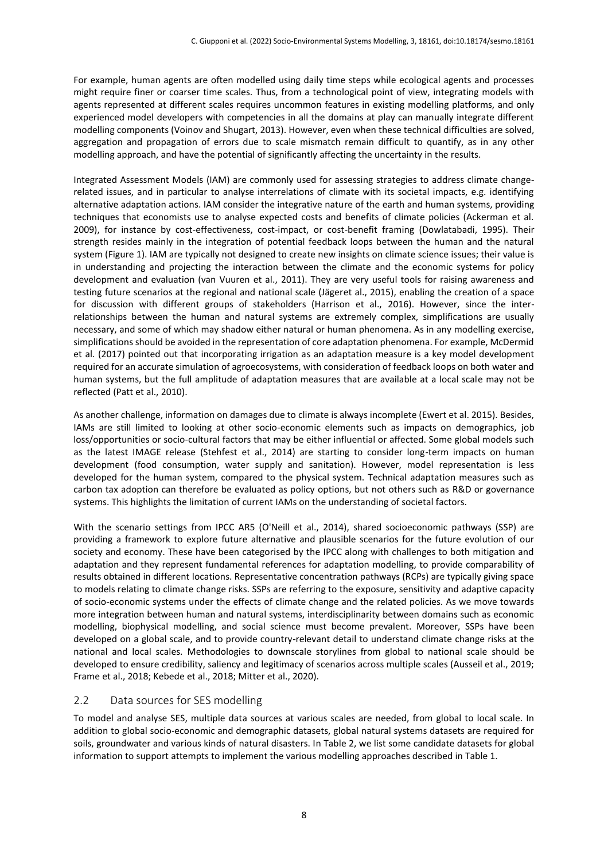For example, human agents are often modelled using daily time steps while ecological agents and processes might require finer or coarser time scales. Thus, from a technological point of view, integrating models with agents represented at different scales requires uncommon features in existing modelling platforms, and only experienced model developers with competencies in all the domains at play can manually integrate different modelling components (Voinov and Shugart, 2013). However, even when these technical difficulties are solved, aggregation and propagation of errors due to scale mismatch remain difficult to quantify, as in any other modelling approach, and have the potential of significantly affecting the uncertainty in the results.

Integrated Assessment Models (IAM) are commonly used for assessing strategies to address climate changerelated issues, and in particular to analyse interrelations of climate with its societal impacts, e.g. identifying alternative adaptation actions. IAM consider the integrative nature of the earth and human systems, providing techniques that economists use to analyse expected costs and benefits of climate policies (Ackerman et al. 2009), for instance by cost-effectiveness, cost-impact, or cost-benefit framing (Dowlatabadi, 1995). Their strength resides mainly in the integration of potential feedback loops between the human and the natural system (Figure 1). IAM are typically not designed to create new insights on climate science issues; their value is in understanding and projecting the interaction between the climate and the economic systems for policy development and evaluation (van Vuuren et al., 2011). They are very useful tools for raising awareness and testing future scenarios at the regional and national scale (Jägeret al., 2015), enabling the creation of a space for discussion with different groups of stakeholders (Harrison et al., 2016). However, since the interrelationships between the human and natural systems are extremely complex, simplifications are usually necessary, and some of which may shadow either natural or human phenomena. As in any modelling exercise, simplifications should be avoided in the representation of core adaptation phenomena. For example, McDermid et al. (2017) pointed out that incorporating irrigation as an adaptation measure is a key model development required for an accurate simulation of agroecosystems, with consideration of feedback loops on both water and human systems, but the full amplitude of adaptation measures that are available at a local scale may not be reflected (Patt et al., 2010).

As another challenge, information on damages due to climate is always incomplete (Ewert et al. 2015). Besides, IAMs are still limited to looking at other socio-economic elements such as impacts on demographics, job loss/opportunities or socio-cultural factors that may be either influential or affected. Some global models such as the latest IMAGE release (Stehfest et al., 2014) are starting to consider long-term impacts on human development (food consumption, water supply and sanitation). However, model representation is less developed for the human system, compared to the physical system. Technical adaptation measures such as carbon tax adoption can therefore be evaluated as policy options, but not others such as R&D or governance systems. This highlights the limitation of current IAMs on the understanding of societal factors.

With the scenario settings from IPCC AR5 (O'Neill et al., 2014), shared socioeconomic pathways (SSP) are providing a framework to explore future alternative and plausible scenarios for the future evolution of our society and economy. These have been categorised by the IPCC along with challenges to both mitigation and adaptation and they represent fundamental references for adaptation modelling, to provide comparability of results obtained in different locations. Representative concentration pathways (RCPs) are typically giving space to models relating to climate change risks. SSPs are referring to the exposure, sensitivity and adaptive capacity of socio-economic systems under the effects of climate change and the related policies. As we move towards more integration between human and natural systems, interdisciplinarity between domains such as economic modelling, biophysical modelling, and social science must become prevalent. Moreover, SSPs have been developed on a global scale, and to provide country-relevant detail to understand climate change risks at the national and local scales. Methodologies to downscale storylines from global to national scale should be developed to ensure credibility, saliency and legitimacy of scenarios across multiple scales (Ausseil et al., 2019; Frame et al., 2018; Kebede et al., 2018; Mitter et al., 2020).

#### 2.2 Data sources for SES modelling

To model and analyse SES, multiple data sources at various scales are needed, from global to local scale. In addition to global socio-economic and demographic datasets, global natural systems datasets are required for soils, groundwater and various kinds of natural disasters. In Table 2, we list some candidate datasets for global information to support attempts to implement the various modelling approaches described in Table 1.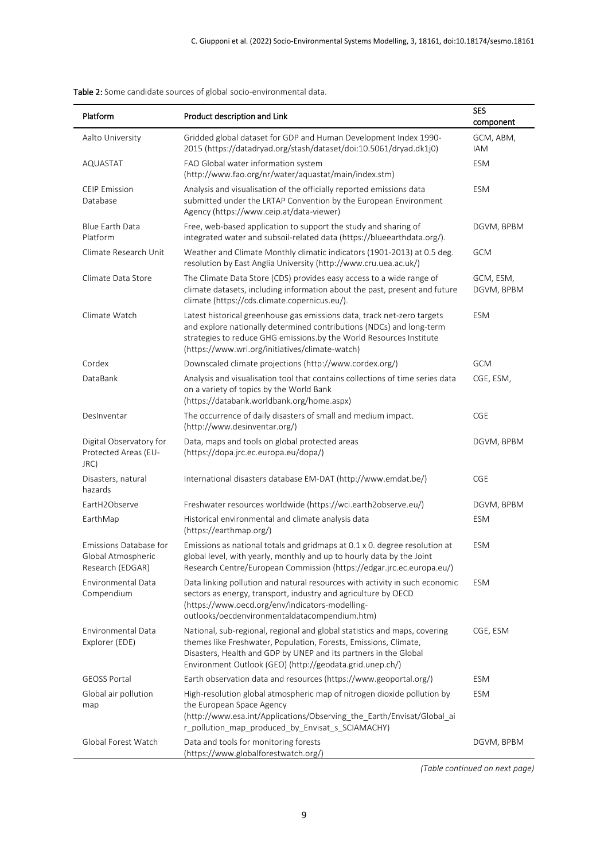| Platform                                                         | Product description and Link                                                                                                                                                                                                                                                  | <b>SES</b><br>component |
|------------------------------------------------------------------|-------------------------------------------------------------------------------------------------------------------------------------------------------------------------------------------------------------------------------------------------------------------------------|-------------------------|
| Aalto University                                                 | Gridded global dataset for GDP and Human Development Index 1990-<br>2015 (https://datadryad.org/stash/dataset/doi:10.5061/dryad.dk1j0)                                                                                                                                        | GCM, ABM,<br>IAM        |
| AQUASTAT                                                         | FAO Global water information system<br>(http://www.fao.org/nr/water/aquastat/main/index.stm)                                                                                                                                                                                  | <b>ESM</b>              |
| <b>CEIP Emission</b><br>Database                                 | Analysis and visualisation of the officially reported emissions data<br>submitted under the LRTAP Convention by the European Environment<br>Agency (https://www.ceip.at/data-viewer)                                                                                          | <b>ESM</b>              |
| Blue Earth Data<br>Platform                                      | Free, web-based application to support the study and sharing of<br>integrated water and subsoil-related data (https://blueearthdata.org/).                                                                                                                                    | DGVM, BPBM              |
| Climate Research Unit                                            | Weather and Climate Monthly climatic indicators (1901-2013) at 0.5 deg.<br>resolution by East Anglia University (http://www.cru.uea.ac.uk/)                                                                                                                                   | <b>GCM</b>              |
| Climate Data Store                                               | The Climate Data Store (CDS) provides easy access to a wide range of<br>climate datasets, including information about the past, present and future<br>climate (https://cds.climate.copernicus.eu/).                                                                           | GCM, ESM,<br>DGVM, BPBM |
| Climate Watch                                                    | Latest historical greenhouse gas emissions data, track net-zero targets<br>and explore nationally determined contributions (NDCs) and long-term<br>strategies to reduce GHG emissions.by the World Resources Institute<br>(https://www.wri.org/initiatives/climate-watch)     | <b>ESM</b>              |
| Cordex                                                           | Downscaled climate projections (http://www.cordex.org/)                                                                                                                                                                                                                       | <b>GCM</b>              |
| DataBank                                                         | Analysis and visualisation tool that contains collections of time series data<br>on a variety of topics by the World Bank<br>(https://databank.worldbank.org/home.aspx)                                                                                                       | CGE, ESM,               |
| DesInventar                                                      | The occurrence of daily disasters of small and medium impact.<br>(http://www.desinventar.org/)                                                                                                                                                                                | CGE                     |
| Digital Observatory for<br>Protected Areas (EU-<br>JRC)          | Data, maps and tools on global protected areas<br>(https://dopa.jrc.ec.europa.eu/dopa/)                                                                                                                                                                                       | DGVM, BPBM              |
| Disasters, natural<br>hazards                                    | International disasters database EM-DAT (http://www.emdat.be/)                                                                                                                                                                                                                | CGE                     |
| EartH2Observe                                                    | Freshwater resources worldwide (https://wci.earth2observe.eu/)                                                                                                                                                                                                                | DGVM, BPBM              |
| EarthMap                                                         | Historical environmental and climate analysis data<br>(https://earthmap.org/)                                                                                                                                                                                                 | <b>ESM</b>              |
| Emissions Database for<br>Global Atmospheric<br>Research (EDGAR) | Emissions as national totals and gridmaps at 0.1 x 0. degree resolution at<br>global level, with yearly, monthly and up to hourly data by the Joint<br>Research Centre/European Commission (https://edgar.jrc.ec.europa.eu/)                                                  | <b>ESM</b>              |
| Environmental Data<br>Compendium                                 | Data linking pollution and natural resources with activity in such economic<br>sectors as energy, transport, industry and agriculture by OECD<br>(https://www.oecd.org/env/indicators-modelling-<br>outlooks/oecdenvironmentaldatacompendium.htm)                             | <b>ESM</b>              |
| <b>Environmental Data</b><br>Explorer (EDE)                      | National, sub-regional, regional and global statistics and maps, covering<br>themes like Freshwater, Population, Forests, Emissions, Climate,<br>Disasters, Health and GDP by UNEP and its partners in the Global<br>Environment Outlook (GEO) (http://geodata.grid.unep.ch/) | CGE, ESM                |
| <b>GEOSS Portal</b>                                              | Earth observation data and resources (https://www.geoportal.org/)                                                                                                                                                                                                             | <b>ESM</b>              |
| Global air pollution<br>map                                      | High-resolution global atmospheric map of nitrogen dioxide pollution by<br>the European Space Agency<br>(http://www.esa.int/Applications/Observing_the_Earth/Envisat/Global_ai<br>r_pollution_map_produced_by_Envisat_s_SCIAMACHY)                                            | <b>ESM</b>              |
| Global Forest Watch                                              | Data and tools for monitoring forests<br>(https://www.globalforestwatch.org/)                                                                                                                                                                                                 | DGVM, BPBM              |

Table 2: Some candidate sources of global socio-environmental data.

*(Table continued on next page)*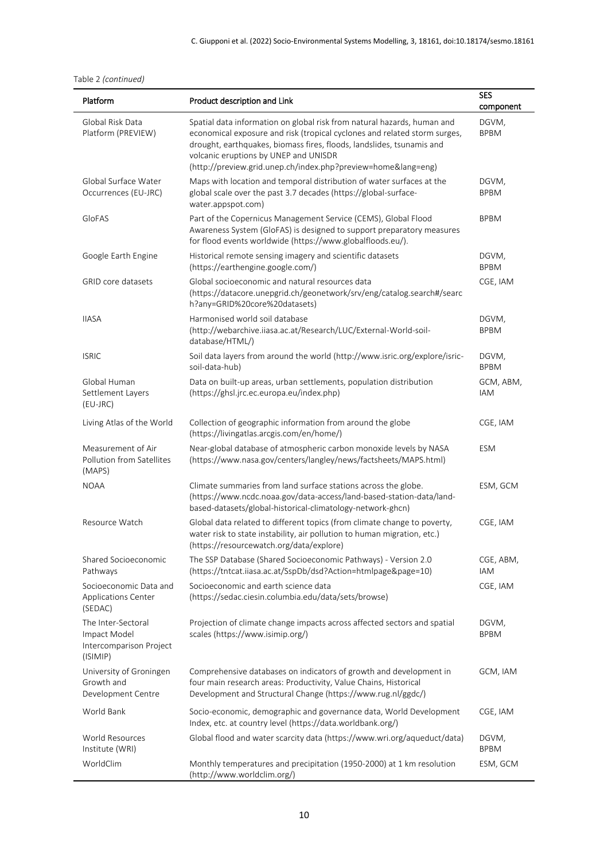|  | Table 2 (continued) |
|--|---------------------|
|--|---------------------|

| Platform                                                                  | Product description and Link                                                                                                                                                                                                                                                                                                        | <b>SES</b><br>component |
|---------------------------------------------------------------------------|-------------------------------------------------------------------------------------------------------------------------------------------------------------------------------------------------------------------------------------------------------------------------------------------------------------------------------------|-------------------------|
| Global Risk Data<br>Platform (PREVIEW)                                    | Spatial data information on global risk from natural hazards, human and<br>economical exposure and risk (tropical cyclones and related storm surges,<br>drought, earthquakes, biomass fires, floods, landslides, tsunamis and<br>volcanic eruptions by UNEP and UNISDR<br>(http://preview.grid.unep.ch/index.php?preview=home⟨=eng) | DGVM,<br><b>BPBM</b>    |
| Global Surface Water<br>Occurrences (EU-JRC)                              | Maps with location and temporal distribution of water surfaces at the<br>global scale over the past 3.7 decades (https://global-surface-<br>water.appspot.com)                                                                                                                                                                      | DGVM,<br><b>BPBM</b>    |
| GloFAS                                                                    | Part of the Copernicus Management Service (CEMS), Global Flood<br>Awareness System (GloFAS) is designed to support preparatory measures<br>for flood events worldwide (https://www.globalfloods.eu/).                                                                                                                               | <b>BPBM</b>             |
| Google Earth Engine                                                       | Historical remote sensing imagery and scientific datasets<br>(https://earthengine.google.com/)                                                                                                                                                                                                                                      | DGVM,<br><b>BPBM</b>    |
| <b>GRID</b> core datasets                                                 | Global socioeconomic and natural resources data<br>(https://datacore.unepgrid.ch/geonetwork/srv/eng/catalog.search#/searc<br>h?any=GRID%20core%20datasets)                                                                                                                                                                          | CGE, IAM                |
| <b>IIASA</b>                                                              | Harmonised world soil database<br>(http://webarchive.iiasa.ac.at/Research/LUC/External-World-soil-<br>database/HTML/)                                                                                                                                                                                                               | DGVM,<br><b>BPBM</b>    |
| <b>ISRIC</b>                                                              | Soil data layers from around the world (http://www.isric.org/explore/isric-<br>soil-data-hub)                                                                                                                                                                                                                                       | DGVM,<br><b>BPBM</b>    |
| Global Human<br>Settlement Layers<br>(EU-JRC)                             | Data on built-up areas, urban settlements, population distribution<br>(https://ghsl.jrc.ec.europa.eu/index.php)                                                                                                                                                                                                                     | GCM, ABM,<br><b>IAM</b> |
| Living Atlas of the World                                                 | Collection of geographic information from around the globe<br>(https://livingatlas.arcgis.com/en/home/)                                                                                                                                                                                                                             | CGE, IAM                |
| Measurement of Air<br>Pollution from Satellites<br>(MAPS)                 | Near-global database of atmospheric carbon monoxide levels by NASA<br>(https://www.nasa.gov/centers/langley/news/factsheets/MAPS.html)                                                                                                                                                                                              | <b>ESM</b>              |
| <b>NOAA</b>                                                               | Climate summaries from land surface stations across the globe.<br>(https://www.ncdc.noaa.gov/data-access/land-based-station-data/land-<br>based-datasets/global-historical-climatology-network-ghcn)                                                                                                                                | ESM, GCM                |
| Resource Watch                                                            | Global data related to different topics (from climate change to poverty,<br>water risk to state instability, air pollution to human migration, etc.)<br>(https://resourcewatch.org/data/explore)                                                                                                                                    | CGE, IAM                |
| Shared Socioeconomic<br>Pathways                                          | The SSP Database (Shared Socioeconomic Pathways) - Version 2.0<br>(https://tntcat.iiasa.ac.at/SspDb/dsd?Action=htmlpage&page=10)                                                                                                                                                                                                    | CGE, ABM,<br>IAM        |
| Socioeconomic Data and<br>Applications Center<br>(SEDAC)                  | Socioeconomic and earth science data<br>(https://sedac.ciesin.columbia.edu/data/sets/browse)                                                                                                                                                                                                                                        | CGE, IAM                |
| The Inter-Sectoral<br>Impact Model<br>Intercomparison Project<br>(ISIMIP) | Projection of climate change impacts across affected sectors and spatial<br>scales (https://www.isimip.org/)                                                                                                                                                                                                                        | DGVM,<br><b>BPBM</b>    |
| University of Groningen<br>Growth and<br>Development Centre               | Comprehensive databases on indicators of growth and development in<br>four main research areas: Productivity, Value Chains, Historical<br>Development and Structural Change (https://www.rug.nl/ggdc/)                                                                                                                              | GCM, IAM                |
| World Bank                                                                | Socio-economic, demographic and governance data, World Development<br>Index, etc. at country level (https://data.worldbank.org/)                                                                                                                                                                                                    | CGE, IAM                |
| World Resources<br>Institute (WRI)                                        | Global flood and water scarcity data (https://www.wri.org/aqueduct/data)                                                                                                                                                                                                                                                            | DGVM,<br><b>BPBM</b>    |
| WorldClim                                                                 | Monthly temperatures and precipitation (1950-2000) at 1 km resolution<br>(http://www.worldclim.org/)                                                                                                                                                                                                                                | ESM, GCM                |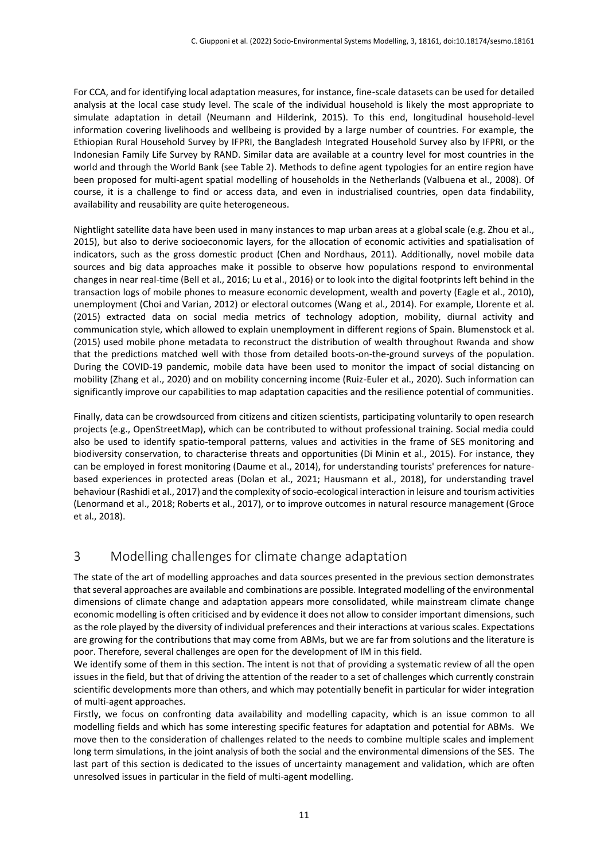For CCA, and for identifying local adaptation measures, for instance, fine-scale datasets can be used for detailed analysis at the local case study level. The scale of the individual household is likely the most appropriate to simulate adaptation in detail (Neumann and Hilderink, 2015). To this end, longitudinal household-level information covering livelihoods and wellbeing is provided by a large number of countries. For example, the Ethiopian Rural Household Survey by IFPRI, the Bangladesh Integrated Household Survey also by IFPRI, or the Indonesian Family Life Survey by RAND. Similar data are available at a country level for most countries in the world and through the World Bank (see Table 2). Methods to define agent typologies for an entire region have been proposed for multi-agent spatial modelling of households in the Netherlands (Valbuena et al., 2008). Of course, it is a challenge to find or access data, and even in industrialised countries, open data findability, availability and reusability are quite heterogeneous.

Nightlight satellite data have been used in many instances to map urban areas at a global scale (e.g. Zhou et al., 2015), but also to derive socioeconomic layers, for the allocation of economic activities and spatialisation of indicators, such as the gross domestic product (Chen and Nordhaus, 2011). Additionally, novel mobile data sources and big data approaches make it possible to observe how populations respond to environmental changes in near real-time (Bell et al., 2016; Lu et al., 2016) or to look into the digital footprints left behind in the transaction logs of mobile phones to measure economic development, wealth and poverty (Eagle et al., 2010), unemployment (Choi and Varian, 2012) or electoral outcomes (Wang et al., 2014). For example, Llorente et al. (2015) extracted data on social media metrics of technology adoption, mobility, diurnal activity and communication style, which allowed to explain unemployment in different regions of Spain. Blumenstock et al. (2015) used mobile phone metadata to reconstruct the distribution of wealth throughout Rwanda and show that the predictions matched well with those from detailed boots-on-the-ground surveys of the population. During the COVID-19 pandemic, mobile data have been used to monitor the impact of social distancing on mobility (Zhang et al., 2020) and on mobility concerning income (Ruiz-Euler et al., 2020). Such information can significantly improve our capabilities to map adaptation capacities and the resilience potential of communities.

Finally, data can be crowdsourced from citizens and citizen scientists, participating voluntarily to open research projects (e.g., OpenStreetMap), which can be contributed to without professional training. Social media could also be used to identify spatio-temporal patterns, values and activities in the frame of SES monitoring and biodiversity conservation, to characterise threats and opportunities (Di Minin et al., 2015). For instance, they can be employed in forest monitoring (Daume et al., 2014), for understanding tourists' preferences for naturebased experiences in protected areas (Dolan et al., 2021; Hausmann et al., 2018), for understanding travel behaviour (Rashidi et al., 2017) and the complexity of socio-ecological interaction in leisure and tourism activities (Lenormand et al., 2018; Roberts et al., 2017), or to improve outcomes in natural resource management (Groce et al., 2018).

# 3 Modelling challenges for climate change adaptation

The state of the art of modelling approaches and data sources presented in the previous section demonstrates that several approaches are available and combinations are possible. Integrated modelling of the environmental dimensions of climate change and adaptation appears more consolidated, while mainstream climate change economic modelling is often criticised and by evidence it does not allow to consider important dimensions, such as the role played by the diversity of individual preferences and their interactions at various scales. Expectations are growing for the contributions that may come from ABMs, but we are far from solutions and the literature is poor. Therefore, several challenges are open for the development of IM in this field.

We identify some of them in this section. The intent is not that of providing a systematic review of all the open issues in the field, but that of driving the attention of the reader to a set of challenges which currently constrain scientific developments more than others, and which may potentially benefit in particular for wider integration of multi-agent approaches.

Firstly, we focus on confronting data availability and modelling capacity, which is an issue common to all modelling fields and which has some interesting specific features for adaptation and potential for ABMs. We move then to the consideration of challenges related to the needs to combine multiple scales and implement long term simulations, in the joint analysis of both the social and the environmental dimensions of the SES. The last part of this section is dedicated to the issues of uncertainty management and validation, which are often unresolved issues in particular in the field of multi-agent modelling.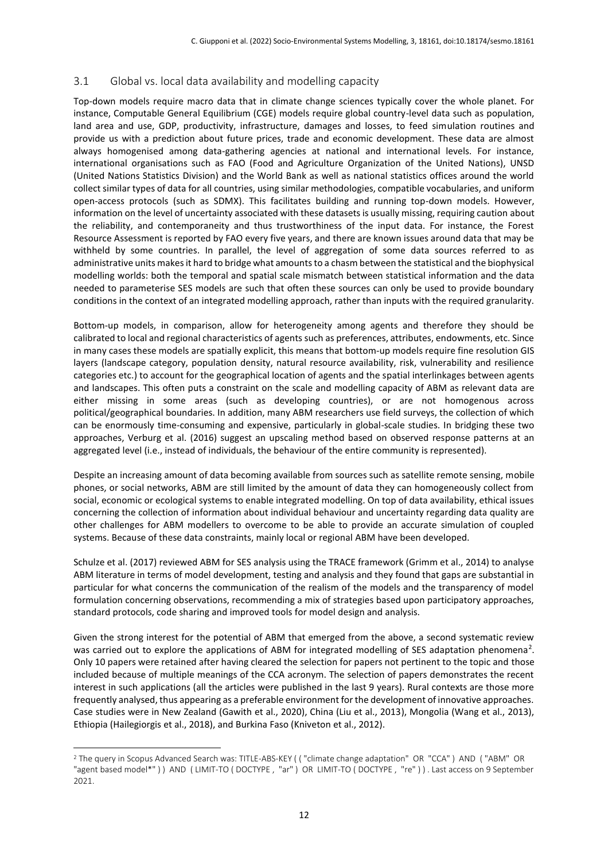### 3.1 Global vs. local data availability and modelling capacity

Top-down models require macro data that in climate change sciences typically cover the whole planet. For instance, Computable General Equilibrium (CGE) models require global country-level data such as population, land area and use, GDP, productivity, infrastructure, damages and losses, to feed simulation routines and provide us with a prediction about future prices, trade and economic development. These data are almost always homogenised among data-gathering agencies at national and international levels. For instance, international organisations such as FAO (Food and Agriculture Organization of the United Nations), UNSD (United Nations Statistics Division) and the World Bank as well as national statistics offices around the world collect similar types of data for all countries, using similar methodologies, compatible vocabularies, and uniform open-access protocols (such as SDMX). This facilitates building and running top-down models. However, information on the level of uncertainty associated with these datasets is usually missing, requiring caution about the reliability, and contemporaneity and thus trustworthiness of the input data. For instance, the Forest Resource Assessment is reported by FAO every five years, and there are known issues around data that may be withheld by some countries. In parallel, the level of aggregation of some data sources referred to as administrative units makes it hard to bridge what amounts to a chasm between the statistical and the biophysical modelling worlds: both the temporal and spatial scale mismatch between statistical information and the data needed to parameterise SES models are such that often these sources can only be used to provide boundary conditions in the context of an integrated modelling approach, rather than inputs with the required granularity.

Bottom-up models, in comparison, allow for heterogeneity among agents and therefore they should be calibrated to local and regional characteristics of agents such as preferences, attributes, endowments, etc. Since in many cases these models are spatially explicit, this means that bottom-up models require fine resolution GIS layers (landscape category, population density, natural resource availability, risk, vulnerability and resilience categories etc.) to account for the geographical location of agents and the spatial interlinkages between agents and landscapes. This often puts a constraint on the scale and modelling capacity of ABM as relevant data are either missing in some areas (such as developing countries), or are not homogenous across political/geographical boundaries. In addition, many ABM researchers use field surveys, the collection of which can be enormously time-consuming and expensive, particularly in global-scale studies. In bridging these two approaches, Verburg et al. (2016) suggest an upscaling method based on observed response patterns at an aggregated level (i.e., instead of individuals, the behaviour of the entire community is represented).

Despite an increasing amount of data becoming available from sources such as satellite remote sensing, mobile phones, or social networks, ABM are still limited by the amount of data they can homogeneously collect from social, economic or ecological systems to enable integrated modelling. On top of data availability, ethical issues concerning the collection of information about individual behaviour and uncertainty regarding data quality are other challenges for ABM modellers to overcome to be able to provide an accurate simulation of coupled systems. Because of these data constraints, mainly local or regional ABM have been developed.

Schulze et al. (2017) reviewed ABM for SES analysis using the TRACE framework (Grimm et al., 2014) to analyse ABM literature in terms of model development, testing and analysis and they found that gaps are substantial in particular for what concerns the communication of the realism of the models and the transparency of model formulation concerning observations, recommending a mix of strategies based upon participatory approaches, standard protocols, code sharing and improved tools for model design and analysis.

Given the strong interest for the potential of ABM that emerged from the above, a second systematic review was carried out to explore the applications of ABM for integrated modelling of SES adaptation phenomena<sup>2</sup>. Only 10 papers were retained after having cleared the selection for papers not pertinent to the topic and those included because of multiple meanings of the CCA acronym. The selection of papers demonstrates the recent interest in such applications (all the articles were published in the last 9 years). Rural contexts are those more frequently analysed, thus appearing as a preferable environment for the development of innovative approaches. Case studies were in New Zealand (Gawith et al., 2020), China (Liu et al., 2013), Mongolia (Wang et al., 2013), Ethiopia (Hailegiorgis et al., 2018), and Burkina Faso (Kniveton et al., 2012).

 $\overline{a}$ 

<sup>2</sup> The query in Scopus Advanced Search was: TITLE-ABS-KEY ( ( "climate change adaptation" OR "CCA" ) AND ( "ABM" OR "agent based model\*" ) ) AND ( LIMIT-TO ( DOCTYPE , "ar" ) OR LIMIT-TO ( DOCTYPE , "re" ) ) . Last access on 9 September 2021.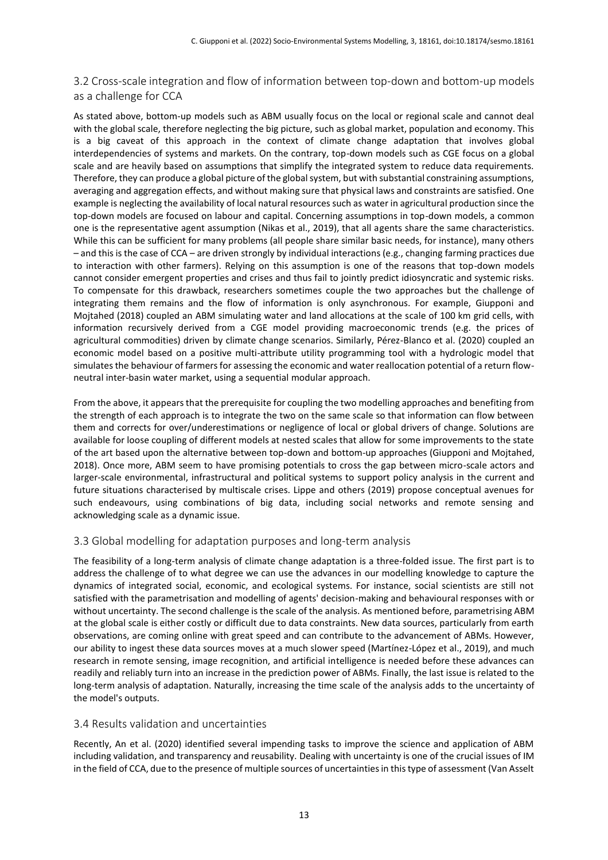# 3.2 Cross-scale integration and flow of information between top-down and bottom-up models as a challenge for CCA

As stated above, bottom-up models such as ABM usually focus on the local or regional scale and cannot deal with the global scale, therefore neglecting the big picture, such as global market, population and economy. This is a big caveat of this approach in the context of climate change adaptation that involves global interdependencies of systems and markets. On the contrary, top-down models such as CGE focus on a global scale and are heavily based on assumptions that simplify the integrated system to reduce data requirements. Therefore, they can produce a global picture of the global system, but with substantial constraining assumptions, averaging and aggregation effects, and without making sure that physical laws and constraints are satisfied. One example is neglecting the availability of local natural resources such as water in agricultural production since the top-down models are focused on labour and capital. Concerning assumptions in top-down models, a common one is the representative agent assumption (Nikas et al., 2019), that all agents share the same characteristics. While this can be sufficient for many problems (all people share similar basic needs, for instance), many others – and this is the case of CCA – are driven strongly by individual interactions (e.g., changing farming practices due to interaction with other farmers). Relying on this assumption is one of the reasons that top-down models cannot consider emergent properties and crises and thus fail to jointly predict idiosyncratic and systemic risks. To compensate for this drawback, researchers sometimes couple the two approaches but the challenge of integrating them remains and the flow of information is only asynchronous. For example, Giupponi and Mojtahed (2018) coupled an ABM simulating water and land allocations at the scale of 100 km grid cells, with information recursively derived from a CGE model providing macroeconomic trends (e.g. the prices of agricultural commodities) driven by climate change scenarios. Similarly, Pérez-Blanco et al. (2020) coupled an economic model based on a positive multi-attribute utility programming tool with a hydrologic model that simulates the behaviour of farmers for assessing the economic and water reallocation potential of a return flowneutral inter-basin water market, using a sequential modular approach.

From the above, it appears that the prerequisite for coupling the two modelling approaches and benefiting from the strength of each approach is to integrate the two on the same scale so that information can flow between them and corrects for over/underestimations or negligence of local or global drivers of change. Solutions are available for loose coupling of different models at nested scales that allow for some improvements to the state of the art based upon the alternative between top-down and bottom-up approaches (Giupponi and Mojtahed, 2018). Once more, ABM seem to have promising potentials to cross the gap between micro-scale actors and larger-scale environmental, infrastructural and political systems to support policy analysis in the current and future situations characterised by multiscale crises. Lippe and others (2019) propose conceptual avenues for such endeavours, using combinations of big data, including social networks and remote sensing and acknowledging scale as a dynamic issue.

# 3.3 Global modelling for adaptation purposes and long-term analysis

The feasibility of a long-term analysis of climate change adaptation is a three-folded issue. The first part is to address the challenge of to what degree we can use the advances in our modelling knowledge to capture the dynamics of integrated social, economic, and ecological systems. For instance, social scientists are still not satisfied with the parametrisation and modelling of agents' decision-making and behavioural responses with or without uncertainty. The second challenge is the scale of the analysis. As mentioned before, parametrising ABM at the global scale is either costly or difficult due to data constraints. New data sources, particularly from earth observations, are coming online with great speed and can contribute to the advancement of ABMs. However, our ability to ingest these data sources moves at a much slower speed (Martínez-López et al., 2019), and much research in remote sensing, image recognition, and artificial intelligence is needed before these advances can readily and reliably turn into an increase in the prediction power of ABMs. Finally, the last issue is related to the long-term analysis of adaptation. Naturally, increasing the time scale of the analysis adds to the uncertainty of the model's outputs.

#### 3.4 Results validation and uncertainties

Recently, An et al. (2020) identified several impending tasks to improve the science and application of ABM including validation, and transparency and reusability. Dealing with uncertainty is one of the crucial issues of IM in the field of CCA, due to the presence of multiple sources of uncertainties in this type of assessment (Van Asselt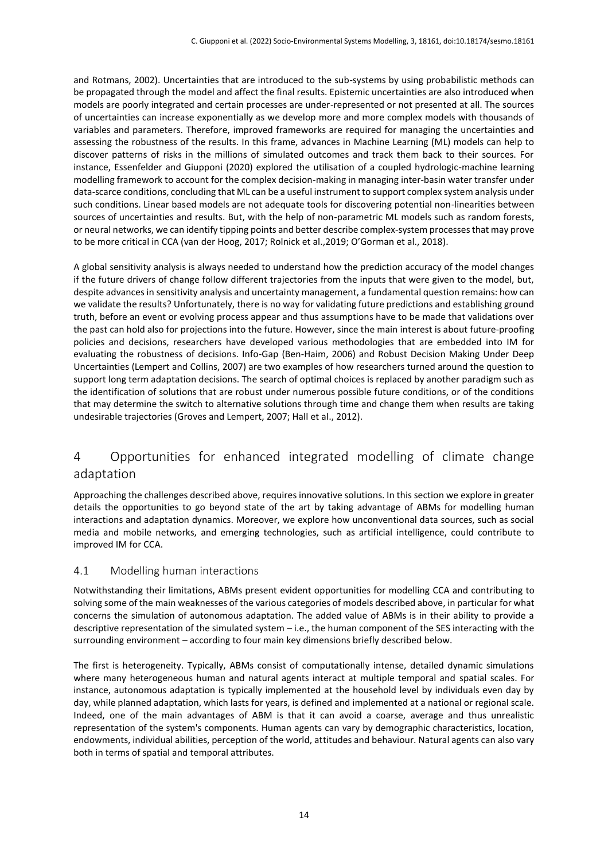and Rotmans, 2002). Uncertainties that are introduced to the sub-systems by using probabilistic methods can be propagated through the model and affect the final results. Epistemic uncertainties are also introduced when models are poorly integrated and certain processes are under-represented or not presented at all. The sources of uncertainties can increase exponentially as we develop more and more complex models with thousands of variables and parameters. Therefore, improved frameworks are required for managing the uncertainties and assessing the robustness of the results. In this frame, advances in Machine Learning (ML) models can help to discover patterns of risks in the millions of simulated outcomes and track them back to their sources. For instance, Essenfelder and Giupponi (2020) explored the utilisation of a coupled hydrologic-machine learning modelling framework to account for the complex decision-making in managing inter-basin water transfer under data-scarce conditions, concluding that ML can be a useful instrument to support complex system analysis under such conditions. Linear based models are not adequate tools for discovering potential non-linearities between sources of uncertainties and results. But, with the help of non-parametric ML models such as random forests, or neural networks, we can identify tipping points and better describe complex-system processes that may prove to be more critical in CCA (van der Hoog, 2017; Rolnick et al.,2019; O'Gorman et al., 2018).

A global sensitivity analysis is always needed to understand how the prediction accuracy of the model changes if the future drivers of change follow different trajectories from the inputs that were given to the model, but, despite advances in sensitivity analysis and uncertainty management, a fundamental question remains: how can we validate the results? Unfortunately, there is no way for validating future predictions and establishing ground truth, before an event or evolving process appear and thus assumptions have to be made that validations over the past can hold also for projections into the future. However, since the main interest is about future-proofing policies and decisions, researchers have developed various methodologies that are embedded into IM for evaluating the robustness of decisions. Info-Gap (Ben-Haim, 2006) and Robust Decision Making Under Deep Uncertainties (Lempert and Collins, 2007) are two examples of how researchers turned around the question to support long term adaptation decisions. The search of optimal choices is replaced by another paradigm such as the identification of solutions that are robust under numerous possible future conditions, or of the conditions that may determine the switch to alternative solutions through time and change them when results are taking undesirable trajectories (Groves and Lempert, 2007; Hall et al., 2012).

# 4 Opportunities for enhanced integrated modelling of climate change adaptation

Approaching the challenges described above, requires innovative solutions. In this section we explore in greater details the opportunities to go beyond state of the art by taking advantage of ABMs for modelling human interactions and adaptation dynamics. Moreover, we explore how unconventional data sources, such as social media and mobile networks, and emerging technologies, such as artificial intelligence, could contribute to improved IM for CCA.

## 4.1 Modelling human interactions

Notwithstanding their limitations, ABMs present evident opportunities for modelling CCA and contributing to solving some of the main weaknesses of the various categories of models described above, in particular for what concerns the simulation of autonomous adaptation. The added value of ABMs is in their ability to provide a descriptive representation of the simulated system – i.e., the human component of the SES interacting with the surrounding environment – according to four main key dimensions briefly described below.

The first is heterogeneity. Typically, ABMs consist of computationally intense, detailed dynamic simulations where many heterogeneous human and natural agents interact at multiple temporal and spatial scales. For instance, autonomous adaptation is typically implemented at the household level by individuals even day by day, while planned adaptation, which lasts for years, is defined and implemented at a national or regional scale. Indeed, one of the main advantages of ABM is that it can avoid a coarse, average and thus unrealistic representation of the system's components. Human agents can vary by demographic characteristics, location, endowments, individual abilities, perception of the world, attitudes and behaviour. Natural agents can also vary both in terms of spatial and temporal attributes.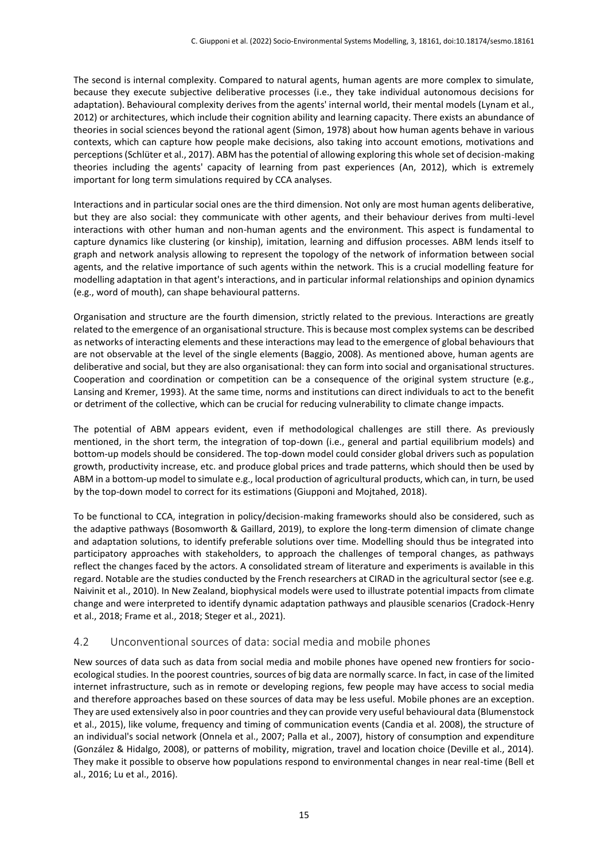The second is internal complexity. Compared to natural agents, human agents are more complex to simulate, because they execute subjective deliberative processes (i.e., they take individual autonomous decisions for adaptation). Behavioural complexity derives from the agents' internal world, their mental models (Lynam et al., 2012) or architectures, which include their cognition ability and learning capacity. There exists an abundance of theories in social sciences beyond the rational agent (Simon, 1978) about how human agents behave in various contexts, which can capture how people make decisions, also taking into account emotions, motivations and perceptions (Schlüter et al., 2017). ABM has the potential of allowing exploring this whole set of decision-making theories including the agents' capacity of learning from past experiences (An, 2012), which is extremely important for long term simulations required by CCA analyses.

Interactions and in particular social ones are the third dimension. Not only are most human agents deliberative, but they are also social: they communicate with other agents, and their behaviour derives from multi-level interactions with other human and non-human agents and the environment. This aspect is fundamental to capture dynamics like clustering (or kinship), imitation, learning and diffusion processes. ABM lends itself to graph and network analysis allowing to represent the topology of the network of information between social agents, and the relative importance of such agents within the network. This is a crucial modelling feature for modelling adaptation in that agent's interactions, and in particular informal relationships and opinion dynamics (e.g., word of mouth), can shape behavioural patterns.

Organisation and structure are the fourth dimension, strictly related to the previous. Interactions are greatly related to the emergence of an organisational structure. This is because most complex systems can be described as networks of interacting elements and these interactions may lead to the emergence of global behaviours that are not observable at the level of the single elements (Baggio, 2008). As mentioned above, human agents are deliberative and social, but they are also organisational: they can form into social and organisational structures. Cooperation and coordination or competition can be a consequence of the original system structure (e.g., Lansing and Kremer, 1993). At the same time, norms and institutions can direct individuals to act to the benefit or detriment of the collective, which can be crucial for reducing vulnerability to climate change impacts.

The potential of ABM appears evident, even if methodological challenges are still there. As previously mentioned, in the short term, the integration of top-down (i.e., general and partial equilibrium models) and bottom-up models should be considered. The top-down model could consider global drivers such as population growth, productivity increase, etc. and produce global prices and trade patterns, which should then be used by ABM in a bottom-up model to simulate e.g., local production of agricultural products, which can, in turn, be used by the top-down model to correct for its estimations (Giupponi and Mojtahed, 2018).

To be functional to CCA, integration in policy/decision-making frameworks should also be considered, such as the adaptive pathways (Bosomworth & Gaillard, 2019), to explore the long-term dimension of climate change and adaptation solutions, to identify preferable solutions over time. Modelling should thus be integrated into participatory approaches with stakeholders, to approach the challenges of temporal changes, as pathways reflect the changes faced by the actors. A consolidated stream of literature and experiments is available in this regard. Notable are the studies conducted by the French researchers at CIRAD in the agricultural sector (see e.g. Naivinit et al., 2010). In New Zealand, biophysical models were used to illustrate potential impacts from climate change and were interpreted to identify dynamic adaptation pathways and plausible scenarios (Cradock-Henry et al., 2018; Frame et al., 2018; Steger et al., 2021).

#### 4.2 Unconventional sources of data: social media and mobile phones

New sources of data such as data from social media and mobile phones have opened new frontiers for socioecological studies. In the poorest countries, sources of big data are normally scarce. In fact, in case of the limited internet infrastructure, such as in remote or developing regions, few people may have access to social media and therefore approaches based on these sources of data may be less useful. Mobile phones are an exception. They are used extensively also in poor countries and they can provide very useful behavioural data (Blumenstock et al., 2015), like volume, frequency and timing of communication events (Candia et al. 2008), the structure of an individual's social network (Onnela et al., 2007; Palla et al., 2007), history of consumption and expenditure (González & Hidalgo, 2008), or patterns of mobility, migration, travel and location choice (Deville et al., 2014). They make it possible to observe how populations respond to environmental changes in near real-time (Bell et al., 2016; Lu et al., 2016).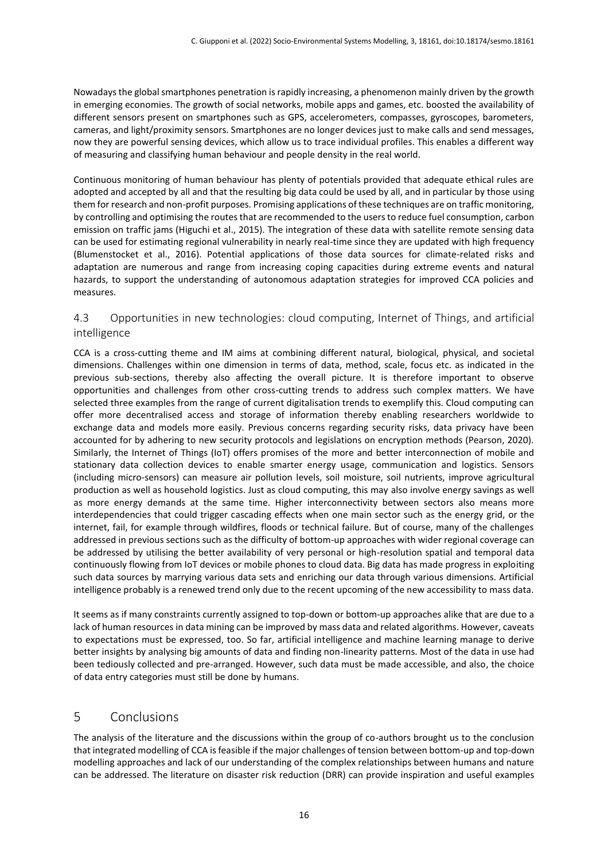Nowadays the global smartphones penetration is rapidly increasing, a phenomenon mainly driven by the growth in emerging economies. The growth of social networks, mobile apps and games, etc. boosted the availability of different sensors present on smartphones such as GPS, accelerometers, compasses, gyroscopes, barometers, cameras, and light/proximity sensors. Smartphones are no longer devices just to make calls and send messages, now they are powerful sensing devices, which allow us to trace individual profiles. This enables a different way of measuring and classifying human behaviour and people density in the real world.

Continuous monitoring of human behaviour has plenty of potentials provided that adequate ethical rules are adopted and accepted by all and that the resulting big data could be used by all, and in particular by those using them for research and non-profit purposes. Promising applications of these techniques are on traffic monitoring, by controlling and optimising the routes that are recommended to the users to reduce fuel consumption, carbon emission on traffic jams (Higuchi et al., 2015). The integration of these data with satellite remote sensing data can be used for estimating regional vulnerability in nearly real-time since they are updated with high frequency (Blumenstocket et al., 2016). Potential applications of those data sources for climate-related risks and adaptation are numerous and range from increasing coping capacities during extreme events and natural hazards, to support the understanding of autonomous adaptation strategies for improved CCA policies and measures.

### 4.3 Opportunities in new technologies: cloud computing, Internet of Things, and artificial intelligence

CCA is a cross-cutting theme and IM aims at combining different natural, biological, physical, and societal dimensions. Challenges within one dimension in terms of data, method, scale, focus etc. as indicated in the previous sub-sections, thereby also affecting the overall picture. It is therefore important to observe opportunities and challenges from other cross-cutting trends to address such complex matters. We have selected three examples from the range of current digitalisation trends to exemplify this. Cloud computing can offer more decentralised access and storage of information thereby enabling researchers worldwide to exchange data and models more easily. Previous concerns regarding security risks, data privacy have been accounted for by adhering to new security protocols and legislations on encryption methods (Pearson, 2020). Similarly, the Internet of Things (IoT) offers promises of the more and better interconnection of mobile and stationary data collection devices to enable smarter energy usage, communication and logistics. Sensors (including micro-sensors) can measure air pollution levels, soil moisture, soil nutrients, improve agricultural production as well as household logistics. Just as cloud computing, this may also involve energy savings as well as more energy demands at the same time. Higher interconnectivity between sectors also means more interdependencies that could trigger cascading effects when one main sector such as the energy grid, or the internet, fail, for example through wildfires, floods or technical failure. But of course, many of the challenges addressed in previous sections such as the difficulty of bottom-up approaches with wider regional coverage can be addressed by utilising the better availability of very personal or high-resolution spatial and temporal data continuously flowing from IoT devices or mobile phones to cloud data. Big data has made progress in exploiting such data sources by marrying various data sets and enriching our data through various dimensions. Artificial intelligence probably is a renewed trend only due to the recent upcoming of the new accessibility to mass data.

It seems as if many constraints currently assigned to top-down or bottom-up approaches alike that are due to a lack of human resources in data mining can be improved by mass data and related algorithms. However, caveats to expectations must be expressed, too. So far, artificial intelligence and machine learning manage to derive better insights by analysing big amounts of data and finding non-linearity patterns. Most of the data in use had been tediously collected and pre-arranged. However, such data must be made accessible, and also, the choice of data entry categories must still be done by humans.

# 5 Conclusions

The analysis of the literature and the discussions within the group of co-authors brought us to the conclusion that integrated modelling of CCA is feasible if the major challenges of tension between bottom-up and top-down modelling approaches and lack of our understanding of the complex relationships between humans and nature can be addressed. The literature on disaster risk reduction (DRR) can provide inspiration and useful examples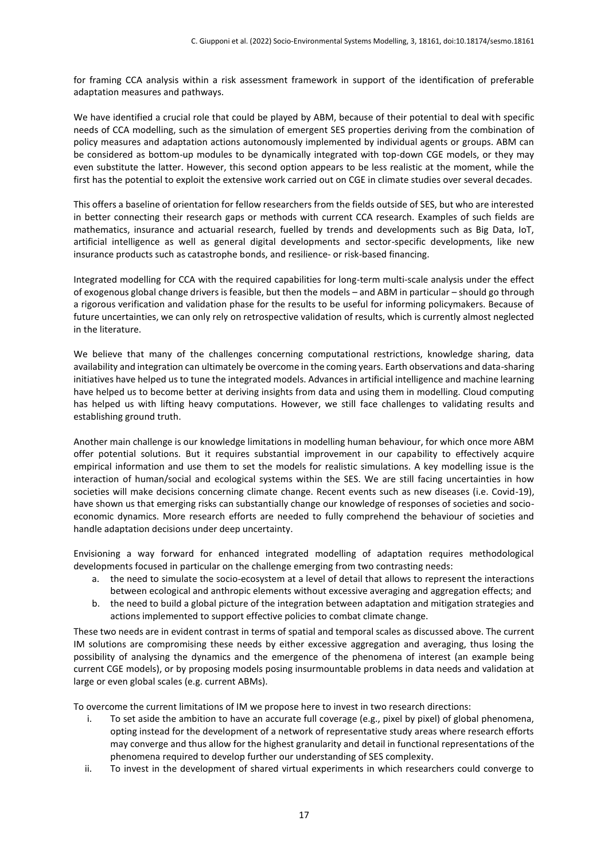for framing CCA analysis within a risk assessment framework in support of the identification of preferable adaptation measures and pathways.

We have identified a crucial role that could be played by ABM, because of their potential to deal with specific needs of CCA modelling, such as the simulation of emergent SES properties deriving from the combination of policy measures and adaptation actions autonomously implemented by individual agents or groups. ABM can be considered as bottom-up modules to be dynamically integrated with top-down CGE models, or they may even substitute the latter. However, this second option appears to be less realistic at the moment, while the first has the potential to exploit the extensive work carried out on CGE in climate studies over several decades.

This offers a baseline of orientation for fellow researchers from the fields outside of SES, but who are interested in better connecting their research gaps or methods with current CCA research. Examples of such fields are mathematics, insurance and actuarial research, fuelled by trends and developments such as Big Data, IoT, artificial intelligence as well as general digital developments and sector-specific developments, like new insurance products such as catastrophe bonds, and resilience- or risk-based financing.

Integrated modelling for CCA with the required capabilities for long-term multi-scale analysis under the effect of exogenous global change drivers is feasible, but then the models – and ABM in particular – should go through a rigorous verification and validation phase for the results to be useful for informing policymakers. Because of future uncertainties, we can only rely on retrospective validation of results, which is currently almost neglected in the literature.

We believe that many of the challenges concerning computational restrictions, knowledge sharing, data availability and integration can ultimately be overcome in the coming years. Earth observations and data-sharing initiatives have helped us to tune the integrated models. Advances in artificial intelligence and machine learning have helped us to become better at deriving insights from data and using them in modelling. Cloud computing has helped us with lifting heavy computations. However, we still face challenges to validating results and establishing ground truth.

Another main challenge is our knowledge limitations in modelling human behaviour, for which once more ABM offer potential solutions. But it requires substantial improvement in our capability to effectively acquire empirical information and use them to set the models for realistic simulations. A key modelling issue is the interaction of human/social and ecological systems within the SES. We are still facing uncertainties in how societies will make decisions concerning climate change. Recent events such as new diseases (i.e. Covid-19), have shown us that emerging risks can substantially change our knowledge of responses of societies and socioeconomic dynamics. More research efforts are needed to fully comprehend the behaviour of societies and handle adaptation decisions under deep uncertainty.

Envisioning a way forward for enhanced integrated modelling of adaptation requires methodological developments focused in particular on the challenge emerging from two contrasting needs:

- a. the need to simulate the socio-ecosystem at a level of detail that allows to represent the interactions between ecological and anthropic elements without excessive averaging and aggregation effects; and
- b. the need to build a global picture of the integration between adaptation and mitigation strategies and actions implemented to support effective policies to combat climate change.

These two needs are in evident contrast in terms of spatial and temporal scales as discussed above. The current IM solutions are compromising these needs by either excessive aggregation and averaging, thus losing the possibility of analysing the dynamics and the emergence of the phenomena of interest (an example being current CGE models), or by proposing models posing insurmountable problems in data needs and validation at large or even global scales (e.g. current ABMs).

To overcome the current limitations of IM we propose here to invest in two research directions:

- i. To set aside the ambition to have an accurate full coverage (e.g., pixel by pixel) of global phenomena, opting instead for the development of a network of representative study areas where research efforts may converge and thus allow for the highest granularity and detail in functional representations of the phenomena required to develop further our understanding of SES complexity.
- ii. To invest in the development of shared virtual experiments in which researchers could converge to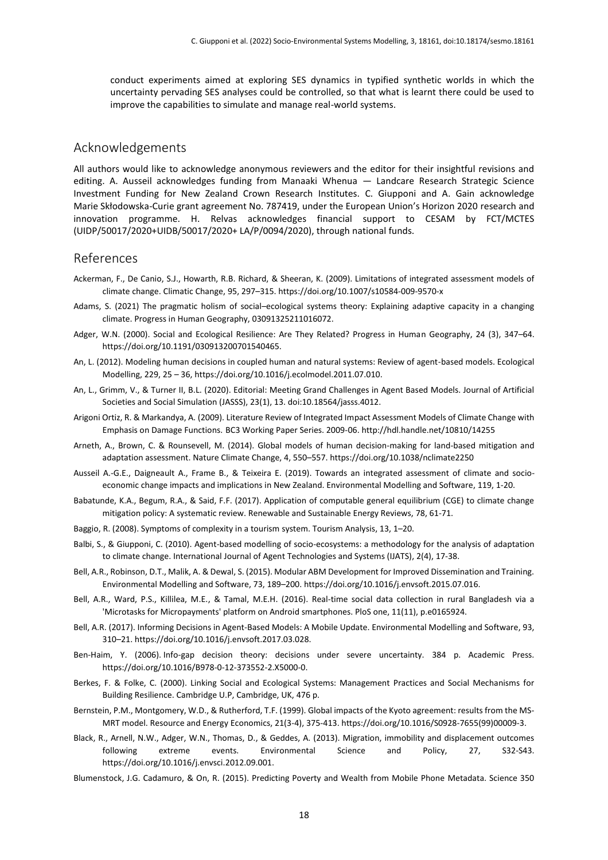conduct experiments aimed at exploring SES dynamics in typified synthetic worlds in which the uncertainty pervading SES analyses could be controlled, so that what is learnt there could be used to improve the capabilities to simulate and manage real-world systems.

#### Acknowledgements

All authors would like to acknowledge anonymous reviewers and the editor for their insightful revisions and editing. A. Ausseil acknowledges funding from Manaaki Whenua — Landcare Research Strategic Science Investment Funding for New Zealand Crown Research Institutes. C. Giupponi and A. Gain acknowledge Marie Skłodowska-Curie grant agreement No. 787419, under the European Union's Horizon 2020 research and innovation programme. H. Relvas acknowledges financial support to CESAM by FCT/MCTES (UIDP/50017/2020+UIDB/50017/2020+ LA/P/0094/2020), through national funds.

#### References

- Ackerman, F., De Canio, S.J., Howarth, R.B. Richard, & Sheeran, K. (2009). Limitations of integrated assessment models of climate change. Climatic Change, 95, 297–315. https://doi.org/10.1007/s10584-009-9570-x
- Adams, S. (2021) The pragmatic holism of social–ecological systems theory: Explaining adaptive capacity in a changing climate. Progress in Human Geography, 03091325211016072.
- Adger, W.N. (2000). Social and Ecological Resilience: Are They Related? Progress in Human Geography, 24 (3), 347–64. https://doi.org/10.1191/030913200701540465.
- An, L. (2012). Modeling human decisions in coupled human and natural systems: Review of agent-based models. Ecological Modelling, 229, 25 – 36, https://doi.org/10.1016/j.ecolmodel.2011.07.010.
- An, L., Grimm, V., & Turner II, B.L. (2020). Editorial: Meeting Grand Challenges in Agent Based Models. Journal of Artificial Societies and Social Simulation (JASSS), 23(1), 13. doi:10.18564/jasss.4012.
- Arigoni Ortiz, R. & Markandya, A. (2009). Literature Review of Integrated Impact Assessment Models of Climate Change with Emphasis on Damage Functions. BC3 Working Paper Series. 2009-06. http://hdl.handle.net/10810/14255
- Arneth, A., Brown, C. & Rounsevell, M. (2014). Global models of human decision-making for land-based mitigation and adaptation assessment. Nature Climate Change, 4, 550–557. https://doi.org/10.1038/nclimate2250
- Ausseil A.-G.E., Daigneault A., Frame B., & Teixeira E. (2019). Towards an integrated assessment of climate and socioeconomic change impacts and implications in New Zealand. Environmental Modelling and Software, 119, 1-20.
- Babatunde, K.A., Begum, R.A., & Said, F.F. (2017). Application of computable general equilibrium (CGE) to climate change mitigation policy: A systematic review. Renewable and Sustainable Energy Reviews, 78, 61-71.
- Baggio, R. (2008). Symptoms of complexity in a tourism system. Tourism Analysis, 13, 1–20.
- Balbi, S., & Giupponi, C. (2010). Agent-based modelling of socio-ecosystems: a methodology for the analysis of adaptation to climate change. International Journal of Agent Technologies and Systems (IJATS), 2(4), 17-38.
- Bell, A.R., Robinson, D.T., Malik, A. & Dewal, S. (2015). Modular ABM Development for Improved Dissemination and Training. Environmental Modelling and Software, 73, 189–200. https://doi.org/10.1016/j.envsoft.2015.07.016.
- Bell, A.R., Ward, P.S., Killilea, M.E., & Tamal, M.E.H. (2016). Real-time social data collection in rural Bangladesh via a 'Microtasks for Micropayments' platform on Android smartphones. PloS one, 11(11), p.e0165924.
- Bell, A.R. (2017). Informing Decisions in Agent-Based Models: A Mobile Update. Environmental Modelling and Software, 93, 310–21. https://doi.org/10.1016/j.envsoft.2017.03.028.
- Ben-Haim, Y. (2006). Info-gap decision theory: decisions under severe uncertainty. 384 p. Academic Press. https://doi.org/10.1016/B978-0-12-373552-2.X5000-0.
- Berkes, F. & Folke, C. (2000). Linking Social and Ecological Systems: Management Practices and Social Mechanisms for Building Resilience. Cambridge U.P, Cambridge, UK, 476 p.
- Bernstein, P.M., Montgomery, W.D., & Rutherford, T.F. (1999). Global impacts of the Kyoto agreement: results from the MS-MRT model. Resource and Energy Economics, 21(3-4), 375-413. https://doi.org/10.1016/S0928-7655(99)00009-3.
- Black, R., Arnell, N.W., Adger, W.N., Thomas, D., & Geddes, A. (2013). Migration, immobility and displacement outcomes following extreme events. Environmental Science and Policy, 27, S32-S43. https://doi.org/10.1016/j.envsci.2012.09.001.
- Blumenstock, J.G. Cadamuro, & On, R. (2015). Predicting Poverty and Wealth from Mobile Phone Metadata. Science 350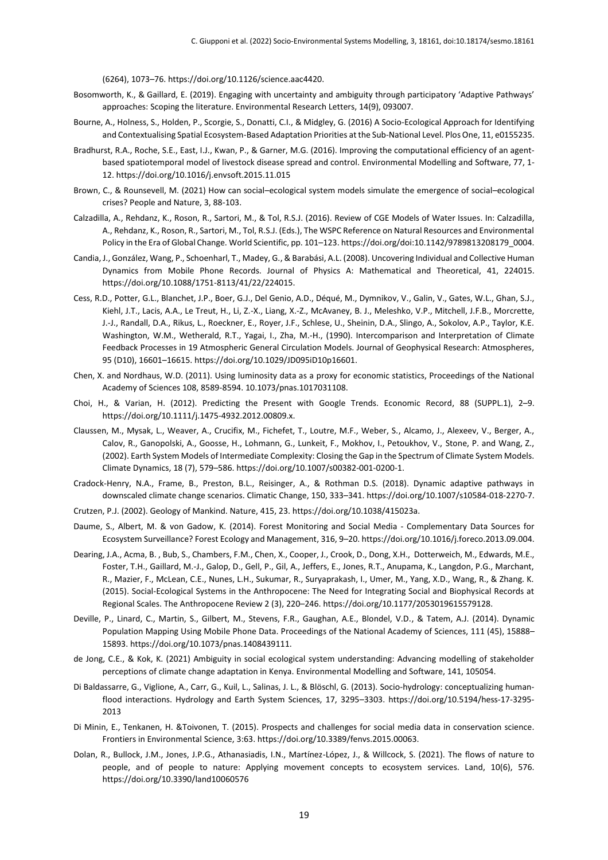(6264), 1073–76. https://doi.org/10.1126/science.aac4420.

- Bosomworth, K., & Gaillard, E. (2019). Engaging with uncertainty and ambiguity through participatory 'Adaptive Pathways' approaches: Scoping the literature. Environmental Research Letters, 14(9), 093007.
- Bourne, A., Holness, S., Holden, P., Scorgie, S., Donatti, C.I., & Midgley, G. (2016) A Socio-Ecological Approach for Identifying and Contextualising Spatial Ecosystem-Based Adaptation Priorities at the Sub-National Level. Plos One, 11, e0155235.
- Bradhurst, R.A., Roche, S.E., East, I.J., Kwan, P., & Garner, M.G. (2016). Improving the computational efficiency of an agentbased spatiotemporal model of livestock disease spread and control. Environmental Modelling and Software, 77, 1- 12. https://doi.org/10.1016/j.envsoft.2015.11.015
- Brown, C., & Rounsevell, M. (2021) How can social–ecological system models simulate the emergence of social–ecological crises? People and Nature, 3, 88-103.
- Calzadilla, A., Rehdanz, K., Roson, R., Sartori, M., & Tol, R.S.J. (2016). Review of CGE Models of Water Issues. In: Calzadilla, A., Rehdanz, K., Roson, R., Sartori, M., Tol, R.S.J. (Eds.), The WSPC Reference on Natural Resources and Environmental Policy in the Era of Global Change. World Scientific, pp. 101–123. https://doi.org/doi:10.1142/9789813208179\_0004.
- Candia, J., González, Wang, P., Schoenharl, T., Madey, G., & Barabási, A.L. (2008). Uncovering Individual and Collective Human Dynamics from Mobile Phone Records. Journal of Physics A: Mathematical and Theoretical, 41, 224015. https://doi.org/10.1088/1751-8113/41/22/224015.
- Cess, R.D., Potter, G.L., Blanchet, J.P., Boer, G.J., Del Genio, A.D., Déqué, M., Dymnikov, V., Galin, V., Gates, W.L., Ghan, S.J., Kiehl, J.T., Lacis, A.A., Le Treut, H., Li, Z.-X., Liang, X.-Z., McAvaney, B. J., Meleshko, V.P., Mitchell, J.F.B., Morcrette, J.-J., Randall, D.A., Rikus, L., Roeckner, E., Royer, J.F., Schlese, U., Sheinin, D.A., Slingo, A., Sokolov, A.P., Taylor, K.E. Washington, W.M., Wetherald, R.T., Yagai, I., Zha, M.-H., (1990). Intercomparison and Interpretation of Climate Feedback Processes in 19 Atmospheric General Circulation Models. Journal of Geophysical Research: Atmospheres, 95 (D10), 16601–16615. https://doi.org/10.1029/JD095iD10p16601.
- Chen, X. and Nordhaus, W.D. (2011). Using luminosity data as a proxy for economic statistics, Proceedings of the National Academy of Sciences 108, 8589-8594. 10.1073/pnas.1017031108.
- Choi, H., & Varian, H. (2012). Predicting the Present with Google Trends. Economic Record, 88 (SUPPL.1), 2–9. https://doi.org/10.1111/j.1475-4932.2012.00809.x.
- Claussen, M., Mysak, L., Weaver, A., Crucifix, M., Fichefet, T., Loutre, M.F., Weber, S., Alcamo, J., Alexeev, V., Berger, A., Calov, R., Ganopolski, A., Goosse, H., Lohmann, G., Lunkeit, F., Mokhov, I., Petoukhov, V., Stone, P. and Wang, Z., (2002). Earth System Models of Intermediate Complexity: Closing the Gap in the Spectrum of Climate System Models. Climate Dynamics, 18 (7), 579–586. https://doi.org/10.1007/s00382-001-0200-1.
- Cradock-Henry, N.A., Frame, B., Preston, B.L., Reisinger, A., & Rothman D.S. (2018). Dynamic adaptive pathways in downscaled climate change scenarios. Climatic Change, 150, 333–341. https://doi.org/10.1007/s10584-018-2270-7.
- Crutzen, P.J. (2002). Geology of Mankind. Nature, 415, 23. https://doi.org/10.1038/415023a.
- Daume, S., Albert, M. & von Gadow, K. (2014). Forest Monitoring and Social Media Complementary Data Sources for Ecosystem Surveillance? Forest Ecology and Management, 316, 9–20. https://doi.org/10.1016/j.foreco.2013.09.004.
- Dearing, J.A., Acma, B. , Bub, S., Chambers, F.M., Chen, X., Cooper, J., Crook, D., Dong, X.H., Dotterweich, M., Edwards, M.E., Foster, T.H., Gaillard, M.-J., Galop, D., Gell, P., Gil, A., Jeffers, E., Jones, R.T., Anupama, K., Langdon, P.G., Marchant, R., Mazier, F., McLean, C.E., Nunes, L.H., Sukumar, R., Suryaprakash, I., Umer, M., Yang, X.D., Wang, R., & Zhang. K. (2015). Social-Ecological Systems in the Anthropocene: The Need for Integrating Social and Biophysical Records at Regional Scales. The Anthropocene Review 2 (3), 220–246. https://doi.org/10.1177/2053019615579128.
- Deville, P., Linard, C., Martin, S., Gilbert, M., Stevens, F.R., Gaughan, A.E., Blondel, V.D., & Tatem, A.J. (2014). Dynamic Population Mapping Using Mobile Phone Data. Proceedings of the National Academy of Sciences, 111 (45), 15888– 15893. https://doi.org/10.1073/pnas.1408439111.
- de Jong, C.E., & Kok, K. (2021) Ambiguity in social ecological system understanding: Advancing modelling of stakeholder perceptions of climate change adaptation in Kenya. Environmental Modelling and Software, 141, 105054.
- Di Baldassarre, G., Viglione, A., Carr, G., Kuil, L., Salinas, J. L., & Blöschl, G. (2013). Socio-hydrology: conceptualizing humanflood interactions. Hydrology and Earth System Sciences, 17, 3295–3303. https://doi.org/10.5194/hess-17-3295-2013
- Di Minin, E., Tenkanen, H. &Toivonen, T. (2015). Prospects and challenges for social media data in conservation science. Frontiers in Environmental Science, 3:63. https://doi.org/10.3389/fenvs.2015.00063.
- Dolan, R., Bullock, J.M., Jones, J.P.G., Athanasiadis, I.N., Martínez-López, J., & Willcock, S. (2021). The flows of nature to people, and of people to nature: Applying movement concepts to ecosystem services. Land, 10(6), 576. https://doi.org/10.3390/land10060576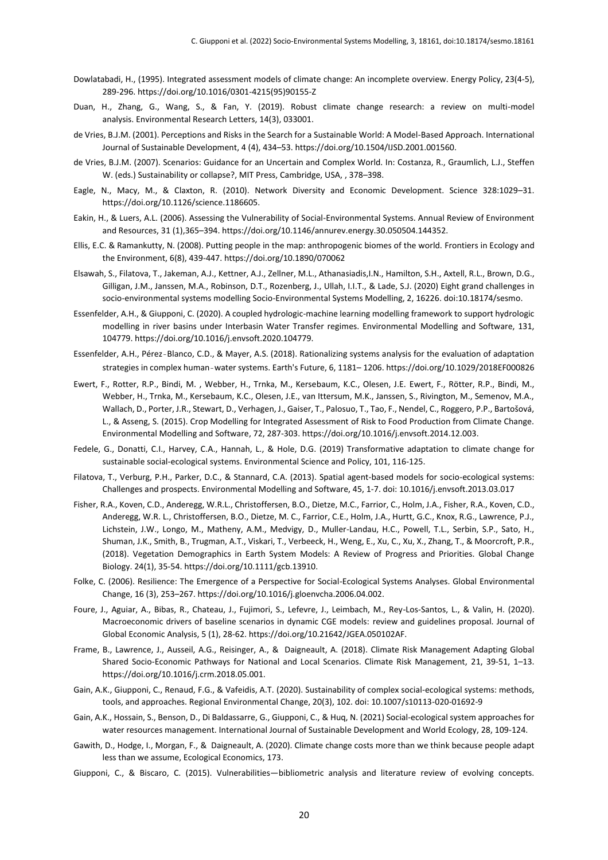- Dowlatabadi, H., (1995). Integrated assessment models of climate change: An incomplete overview. Energy Policy, 23(4-5), 289-296. https://doi.org/10.1016/0301-4215(95)90155-Z
- Duan, H., Zhang, G., Wang, S., & Fan, Y. (2019). Robust climate change research: a review on multi-model analysis. Environmental Research Letters, 14(3), 033001.
- de Vries, B.J.M. (2001). Perceptions and Risks in the Search for a Sustainable World: A Model-Based Approach. International Journal of Sustainable Development, 4 (4), 434–53. https://doi.org/10.1504/IJSD.2001.001560.
- de Vries, B.J.M. (2007). Scenarios: Guidance for an Uncertain and Complex World. In: Costanza, R., Graumlich, L.J., Steffen W. (eds.) Sustainability or collapse?, MIT Press, Cambridge, USA, , 378–398.
- Eagle, N., Macy, M., & Claxton, R. (2010). Network Diversity and Economic Development. Science 328:1029–31. https://doi.org/10.1126/science.1186605.
- Eakin, H., & Luers, A.L. (2006). Assessing the Vulnerability of Social-Environmental Systems. Annual Review of Environment and Resources, 31 (1),365–394. https://doi.org/10.1146/annurev.energy.30.050504.144352.
- Ellis, E.C. & Ramankutty, N. (2008). Putting people in the map: anthropogenic biomes of the world. Frontiers in Ecology and the Environment, 6(8), 439-447. https://doi.org/10.1890/070062
- Elsawah, S., Filatova, T., Jakeman, A.J., Kettner, A.J., Zellner, M.L., Athanasiadis,I.N., Hamilton, S.H., Axtell, R.L., Brown, D.G., Gilligan, J.M., Janssen, M.A., Robinson, D.T., Rozenberg, J., Ullah, I.I.T., & Lade, S.J. (2020) Eight grand challenges in socio-environmental systems modelling Socio-Environmental Systems Modelling, 2, 16226. doi:10.18174/sesmo.
- Essenfelder, A.H., & Giupponi, C. (2020). A coupled hydrologic-machine learning modelling framework to support hydrologic modelling in river basins under Interbasin Water Transfer regimes. Environmental Modelling and Software, 131, 104779. https://doi.org/10.1016/j.envsoft.2020.104779.
- Essenfelder, A.H., Pérez‐Blanco, C.D., & Mayer, A.S. (2018). Rationalizing systems analysis for the evaluation of adaptation strategies in complex human‐water systems. Earth's Future, 6, 1181– 1206. https://doi.org/10.1029/2018EF000826
- Ewert, F., Rotter, R.P., Bindi, M. , Webber, H., Trnka, M., Kersebaum, K.C., Olesen, J.E. Ewert, F., Rötter, R.P., Bindi, M., Webber, H., Trnka, M., Kersebaum, K.C., Olesen, J.E., van Ittersum, M.K., Janssen, S., Rivington, M., Semenov, M.A., Wallach, D., Porter, J.R., Stewart, D., Verhagen, J., Gaiser, T., Palosuo, T., Tao, F., Nendel, C., Roggero, P.P., Bartošová, L., & Asseng, S. (2015). Crop Modelling for Integrated Assessment of Risk to Food Production from Climate Change. Environmental Modelling and Software, 72, 287-303. https://doi.org/10.1016/j.envsoft.2014.12.003.
- Fedele, G., Donatti, C.I., Harvey, C.A., Hannah, L., & Hole, D.G. (2019) Transformative adaptation to climate change for sustainable social-ecological systems. Environmental Science and Policy, 101, 116-125.
- Filatova, T., Verburg, P.H., Parker, D.C., & Stannard, C.A. (2013). Spatial agent-based models for socio-ecological systems: Challenges and prospects. Environmental Modelling and Software, 45, 1-7. doi: 10.1016/j.envsoft.2013.03.017
- Fisher, R.A., Koven, C.D., Anderegg, W.R.L., Christoffersen, B.O., Dietze, M.C., Farrior, C., Holm, J.A., Fisher, R.A., Koven, C.D., Anderegg, W.R. L., Christoffersen, B.O., Dietze, M. C., Farrior, C.E., Holm, J.A., Hurtt, G.C., Knox, R.G., Lawrence, P.J., Lichstein, J.W., Longo, M., Matheny, A.M., Medvigy, D., Muller-Landau, H.C., Powell, T.L., Serbin, S.P., Sato, H., Shuman, J.K., Smith, B., Trugman, A.T., Viskari, T., Verbeeck, H., Weng, E., Xu, C., Xu, X., Zhang, T., & Moorcroft, P.R., (2018). Vegetation Demographics in Earth System Models: A Review of Progress and Priorities. Global Change Biology. 24(1), 35-54. https://doi.org/10.1111/gcb.13910.
- Folke, C. (2006). Resilience: The Emergence of a Perspective for Social-Ecological Systems Analyses. Global Environmental Change, 16 (3), 253–267. https://doi.org/10.1016/j.gloenvcha.2006.04.002.
- Foure, J., Aguiar, A., Bibas, R., Chateau, J., Fujimori, S., Lefevre, J., Leimbach, M., Rey-Los-Santos, L., & Valin, H. (2020). Macroeconomic drivers of baseline scenarios in dynamic CGE models: review and guidelines proposal. Journal of Global Economic Analysis, 5 (1), 28-62. https://doi.org/10.21642/JGEA.050102AF.
- Frame, B., Lawrence, J., Ausseil, A.G., Reisinger, A., & Daigneault, A. (2018). Climate Risk Management Adapting Global Shared Socio-Economic Pathways for National and Local Scenarios. Climate Risk Management, 21, 39-51, 1–13. https://doi.org/10.1016/j.crm.2018.05.001.
- Gain, A.K., Giupponi, C., Renaud, F.G., & Vafeidis, A.T. (2020). Sustainability of complex social-ecological systems: methods, tools, and approaches. Regional Environmental Change, 20(3), 102. doi: 10.1007/s10113-020-01692-9
- Gain, A.K., Hossain, S., Benson, D., Di Baldassarre, G., Giupponi, C., & Huq, N. (2021) Social-ecological system approaches for water resources management. International Journal of Sustainable Development and World Ecology, 28, 109-124.
- Gawith, D., Hodge, I., Morgan, F., & Daigneault, A. (2020). Climate change costs more than we think because people adapt less than we assume, Ecological Economics, 173.
- Giupponi, C., & Biscaro, C. (2015). Vulnerabilities—bibliometric analysis and literature review of evolving concepts.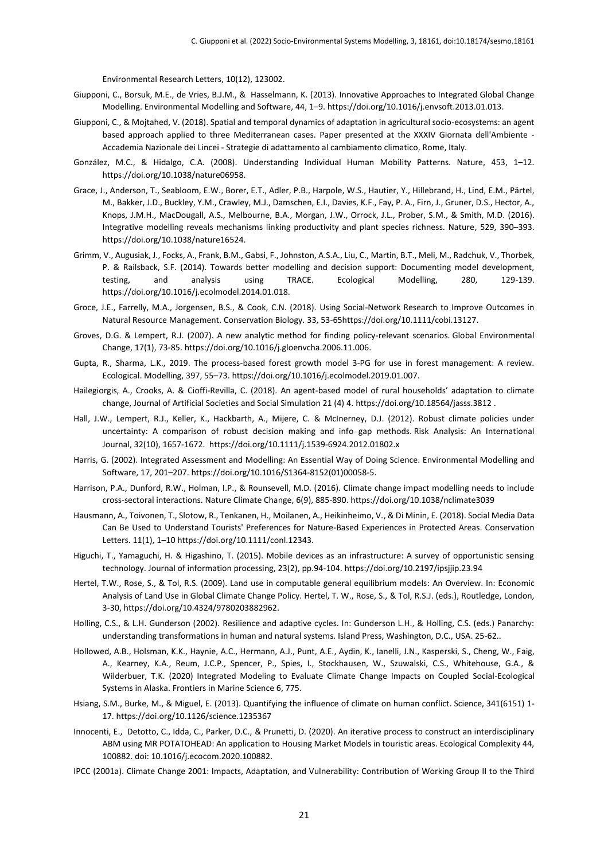Environmental Research Letters, 10(12), 123002.

- Giupponi, C., Borsuk, M.E., de Vries, B.J.M., & Hasselmann, K. (2013). Innovative Approaches to Integrated Global Change Modelling. Environmental Modelling and Software, 44, 1–9. https://doi.org/10.1016/j.envsoft.2013.01.013.
- Giupponi, C., & Mojtahed, V. (2018). Spatial and temporal dynamics of adaptation in agricultural socio-ecosystems: an agent based approach applied to three Mediterranean cases. Paper presented at the XXXIV Giornata dell'Ambiente - Accademia Nazionale dei Lincei - Strategie di adattamento al cambiamento climatico, Rome, Italy.
- González, M.C., & Hidalgo, C.A. (2008). Understanding Individual Human Mobility Patterns. Nature, 453, 1–12. https://doi.org/10.1038/nature06958.
- Grace, J., Anderson, T., Seabloom, E.W., Borer, E.T., Adler, P.B., Harpole, W.S., Hautier, Y., Hillebrand, H., Lind, E.M., Pärtel, M., Bakker, J.D., Buckley, Y.M., Crawley, M.J., Damschen, E.I., Davies, K.F., Fay, P. A., Firn, J., Gruner, D.S., Hector, A., Knops, J.M.H., MacDougall, A.S., Melbourne, B.A., Morgan, J.W., Orrock, J.L., Prober, S.M., & Smith, M.D. (2016). Integrative modelling reveals mechanisms linking productivity and plant species richness. Nature, 529, 390–393. https://doi.org/10.1038/nature16524.
- Grimm, V., Augusiak, J., Focks, A., Frank, B.M., Gabsi, F., Johnston, A.S.A., Liu, C., Martin, B.T., Meli, M., Radchuk, V., Thorbek, P. & Railsback, S.F. (2014). Towards better modelling and decision support: Documenting model development, testing, and analysis using TRACE. Ecological Modelling, 280, 129-139. https://doi.org/10.1016/j.ecolmodel.2014.01.018.
- Groce, J.E., Farrelly, M.A., Jorgensen, B.S., & Cook, C.N. (2018). Using Social-Network Research to Improve Outcomes in Natural Resource Management. Conservation Biology. 33, 53-65https://doi.org/10.1111/cobi.13127.
- Groves, D.G. & Lempert, R.J. (2007). A new analytic method for finding policy-relevant scenarios. Global Environmental Change, 17(1), 73-85. https://doi.org/10.1016/j.gloenvcha.2006.11.006.
- Gupta, R., Sharma, L.K., 2019. The process-based forest growth model 3-PG for use in forest management: A review. Ecological. Modelling, 397, 55–73. https://doi.org/10.1016/j.ecolmodel.2019.01.007.
- Hailegiorgis, A., Crooks, A. & Cioffi-Revilla, C. (2018). An agent-based model of rural households' adaptation to climate change, Journal of Artificial Societies and Social Simulation 21 (4) 4. https://doi.org/10.18564/jasss.3812 .
- Hall, J.W., Lempert, R.J., Keller, K., Hackbarth, A., Mijere, C. & McInerney, D.J. (2012). Robust climate policies under uncertainty: A comparison of robust decision making and info‐gap methods. Risk Analysis: An International Journal, 32(10), 1657-1672. https://doi.org/10.1111/j.1539-6924.2012.01802.x
- Harris, G. (2002). Integrated Assessment and Modelling: An Essential Way of Doing Science. Environmental Modelling and Software, 17, 201–207. https://doi.org/10.1016/S1364-8152(01)00058-5.
- Harrison, P.A., Dunford, R.W., Holman, I.P., & Rounsevell, M.D. (2016). Climate change impact modelling needs to include cross-sectoral interactions. Nature Climate Change, 6(9), 885-890. https://doi.org/10.1038/nclimate3039
- Hausmann, A., Toivonen, T., Slotow, R., Tenkanen, H., Moilanen, A., Heikinheimo, V., & Di Minin, E. (2018). Social Media Data Can Be Used to Understand Tourists' Preferences for Nature-Based Experiences in Protected Areas. Conservation Letters. 11(1), 1–10 https://doi.org/10.1111/conl.12343.
- Higuchi, T., Yamaguchi, H. & Higashino, T. (2015). Mobile devices as an infrastructure: A survey of opportunistic sensing technology. Journal of information processing, 23(2), pp.94-104. https://doi.org/10.2197/ipsjjip.23.94
- Hertel, T.W., Rose, S., & Tol, R.S. (2009). Land use in computable general equilibrium models: An Overview. In: Economic Analysis of Land Use in Global Climate Change Policy. Hertel, T. W., Rose, S., & Tol, R.S.J. (eds.), Routledge, London, 3-30, https://doi.org/10.4324/9780203882962.
- Holling, C.S., & L.H. Gunderson (2002). Resilience and adaptive cycles. In: Gunderson L.H., & Holling, C.S. (eds.) Panarchy: understanding transformations in human and natural systems. Island Press, Washington, D.C., USA. 25-62..
- Hollowed, A.B., Holsman, K.K., Haynie, A.C., Hermann, A.J., Punt, A.E., Aydin, K., Ianelli, J.N., Kasperski, S., Cheng, W., Faig, A., Kearney, K.A., Reum, J.C.P., Spencer, P., Spies, I., Stockhausen, W., Szuwalski, C.S., Whitehouse, G.A., & Wilderbuer, T.K. (2020) Integrated Modeling to Evaluate Climate Change Impacts on Coupled Social-Ecological Systems in Alaska. Frontiers in Marine Science 6, 775.
- Hsiang, S.M., Burke, M., & Miguel, E. (2013). Quantifying the influence of climate on human conflict. Science, 341(6151) 1- 17. https://doi.org/10.1126/science.1235367
- Innocenti, E., Detotto, C., Idda, C., Parker, D.C., & Prunetti, D. (2020). An iterative process to construct an interdisciplinary ABM using MR POTATOHEAD: An application to Housing Market Models in touristic areas. Ecological Complexity 44, 100882. doi: 10.1016/j.ecocom.2020.100882.
- IPCC (2001a). Climate Change 2001: Impacts, Adaptation, and Vulnerability: Contribution of Working Group II to the Third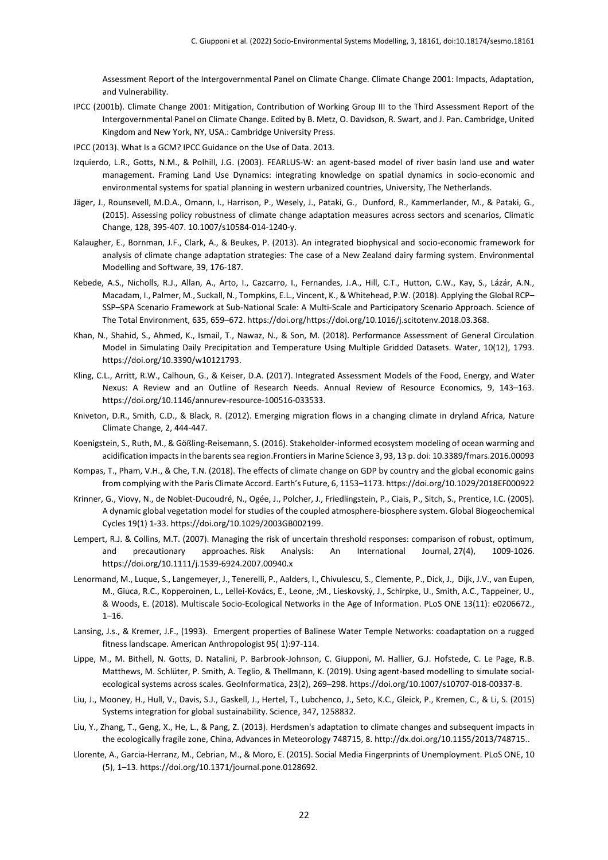Assessment Report of the Intergovernmental Panel on Climate Change. Climate Change 2001: Impacts, Adaptation, and Vulnerability.

- IPCC (2001b). Climate Change 2001: Mitigation, Contribution of Working Group III to the Third Assessment Report of the Intergovernmental Panel on Climate Change. Edited by B. Metz, O. Davidson, R. Swart, and J. Pan. Cambridge, United Kingdom and New York, NY, USA.: Cambridge University Press.
- IPCC (2013). What Is a GCM? IPCC Guidance on the Use of Data. 2013.
- Izquierdo, L.R., Gotts, N.M., & Polhill, J.G. (2003). FEARLUS-W: an agent-based model of river basin land use and water management. Framing Land Use Dynamics: integrating knowledge on spatial dynamics in socio-economic and environmental systems for spatial planning in western urbanized countries, University, The Netherlands.
- Jäger, J., Rounsevell, M.D.A., Omann, I., Harrison, P., Wesely, J., Pataki, G., Dunford, R., Kammerlander, M., & Pataki, G., (2015). Assessing policy robustness of climate change adaptation measures across sectors and scenarios, Climatic Change, 128, 395-407. 10.1007/s10584-014-1240-y.
- Kalaugher, E., Bornman, J.F., Clark, A., & Beukes, P. (2013). An integrated biophysical and socio-economic framework for analysis of climate change adaptation strategies: The case of a New Zealand dairy farming system. Environmental Modelling and Software, 39, 176-187.
- Kebede, A.S., Nicholls, R.J., Allan, A., Arto, I., Cazcarro, I., Fernandes, J.A., Hill, C.T., Hutton, C.W., Kay, S., Lázár, A.N., Macadam, I., Palmer, M., Suckall, N., Tompkins, E.L., Vincent, K., & Whitehead, P.W. (2018). Applying the Global RCP– SSP–SPA Scenario Framework at Sub-National Scale: A Multi-Scale and Participatory Scenario Approach. Science of The Total Environment, 635, 659–672. https://doi.org/https://doi.org/10.1016/j.scitotenv.2018.03.368.
- Khan, N., Shahid, S., Ahmed, K., Ismail, T., Nawaz, N., & Son, M. (2018). Performance Assessment of General Circulation Model in Simulating Daily Precipitation and Temperature Using Multiple Gridded Datasets. Water, 10(12), 1793. https://doi.org/10.3390/w10121793.
- Kling, C.L., Arritt, R.W., Calhoun, G., & Keiser, D.A. (2017). Integrated Assessment Models of the Food, Energy, and Water Nexus: A Review and an Outline of Research Needs. Annual Review of Resource Economics, 9, 143–163. https://doi.org/10.1146/annurev-resource-100516-033533.
- Kniveton, D.R., Smith, C.D., & Black, R. (2012). Emerging migration flows in a changing climate in dryland Africa, Nature Climate Change, 2, 444-447.
- Koenigstein, S., Ruth, M., & Gößling-Reisemann, S. (2016). Stakeholder-informed ecosystem modeling of ocean warming and acidification impacts in the barents sea region.Frontiersin Marine Science 3, 93, 13 p. doi: 10.3389/fmars.2016.00093
- Kompas, T., Pham, V.H., & Che, T.N. (2018). The effects of climate change on GDP by country and the global economic gains from complying with the Paris Climate Accord. Earth's Future, 6, 1153–1173. https://doi.org/10.1029/2018EF000922
- Krinner, G., Viovy, N., de Noblet-Ducoudré, N., Ogée, J., Polcher, J., Friedlingstein, P., Ciais, P., Sitch, S., Prentice, I.C. (2005). A dynamic global vegetation model for studies of the coupled atmosphere-biosphere system. Global Biogeochemical Cycles 19(1) 1-33. https://doi.org/10.1029/2003GB002199.
- Lempert, R.J. & Collins, M.T. (2007). Managing the risk of uncertain threshold responses: comparison of robust, optimum, and precautionary approaches. Risk Analysis: An International Journal, 27(4), 1009-1026. https://doi.org/10.1111/j.1539-6924.2007.00940.x
- Lenormand, M., Luque, S., Langemeyer, J., Tenerelli, P., Aalders, I., Chivulescu, S., Clemente, P., Dick, J., Dijk, J.V., van Eupen, M., Giuca, R.C., Kopperoinen, L., Lellei-Kovács, E., Leone, ;M., Lieskovský, J., Schirpke, U., Smith, A.C., Tappeiner, U., & Woods, E. (2018). Multiscale Socio-Ecological Networks in the Age of Information. PLoS ONE 13(11): e0206672.,  $1 - 16$ .
- Lansing, J.s., & Kremer, J.F., (1993). Emergent properties of Balinese Water Temple Networks: coadaptation on a rugged fitness landscape. American Anthropologist 95( 1):97-114.
- Lippe, M., M. Bithell, N. Gotts, D. Natalini, P. Barbrook-Johnson, C. Giupponi, M. Hallier, G.J. Hofstede, C. Le Page, R.B. Matthews, M. Schlüter, P. Smith, A. Teglio, & Thellmann, K. (2019). Using agent-based modelling to simulate socialecological systems across scales. GeoInformatica, 23(2), 269–298. https://doi.org/10.1007/s10707-018-00337-8.
- Liu, J., Mooney, H., Hull, V., Davis, S.J., Gaskell, J., Hertel, T., Lubchenco, J., Seto, K.C., Gleick, P., Kremen, C., & Li, S. (2015) Systems integration for global sustainability. Science, 347, 1258832.
- Liu, Y., Zhang, T., Geng, X., He, L., & Pang, Z. (2013). Herdsmen's adaptation to climate changes and subsequent impacts in the ecologically fragile zone, China, Advances in Meteorology 748715, 8. http://dx.doi.org/10.1155/2013/748715..
- Llorente, A., Garcia-Herranz, M., Cebrian, M., & Moro, E. (2015). Social Media Fingerprints of Unemployment. PLoS ONE, 10 (5), 1–13. https://doi.org/10.1371/journal.pone.0128692.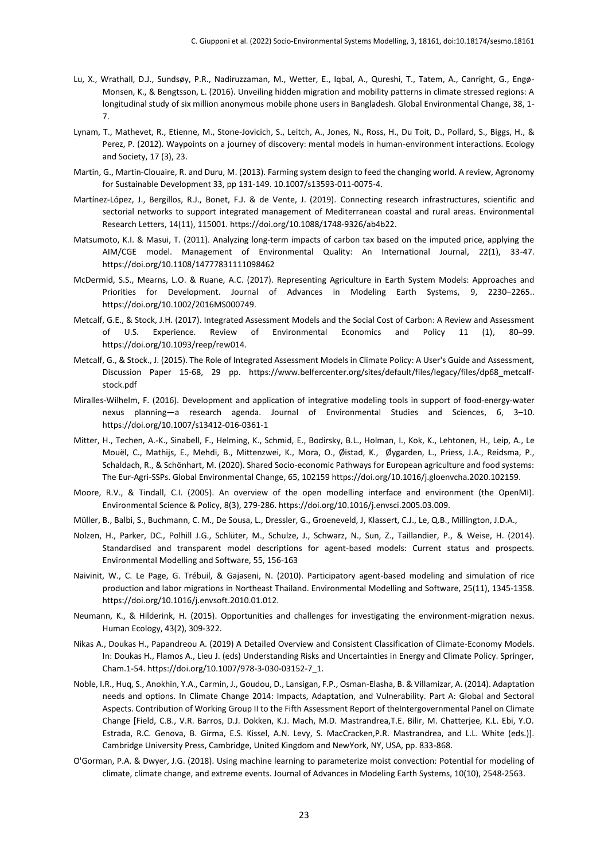- Lu, X., Wrathall, D.J., Sundsøy, P.R., Nadiruzzaman, M., Wetter, E., Iqbal, A., Qureshi, T., Tatem, A., Canright, G., Engø-Monsen, K., & Bengtsson, L. (2016). Unveiling hidden migration and mobility patterns in climate stressed regions: A longitudinal study of six million anonymous mobile phone users in Bangladesh. Global Environmental Change, 38, 1- 7.
- Lynam, T., Mathevet, R., Etienne, M., Stone-Jovicich, S., Leitch, A., Jones, N., Ross, H., Du Toit, D., Pollard, S., Biggs, H., & Perez, P. (2012). Waypoints on a journey of discovery: mental models in human-environment interactions. Ecology and Society, 17 (3), 23.
- Martin, G., Martin-Clouaire, R. and Duru, M. (2013). Farming system design to feed the changing world. A review, Agronomy for Sustainable Development 33, pp 131-149. 10.1007/s13593-011-0075-4.
- Martínez-López, J., Bergillos, R.J., Bonet, F.J. & de Vente, J. (2019). Connecting research infrastructures, scientific and sectorial networks to support integrated management of Mediterranean coastal and rural areas. Environmental Research Letters, 14(11), 115001. https://doi.org/10.1088/1748-9326/ab4b22.
- Matsumoto, K.I. & Masui, T. (2011). Analyzing long-term impacts of carbon tax based on the imputed price, applying the AIM/CGE model. Management of Environmental Quality: An International Journal, 22(1), 33-47. https://doi.org/10.1108/14777831111098462
- McDermid, S.S., Mearns, L.O. & Ruane, A.C. (2017). Representing Agriculture in Earth System Models: Approaches and Priorities for Development. Journal of Advances in Modeling Earth Systems, 9, 2230–2265.. https://doi.org/10.1002/2016MS000749.
- Metcalf, G.E., & Stock, J.H. (2017). Integrated Assessment Models and the Social Cost of Carbon: A Review and Assessment of U.S. Experience. Review of Environmental Economics and Policy 11 (1), 80–99. https://doi.org/10.1093/reep/rew014.
- Metcalf, G., & Stock., J. (2015). The Role of Integrated Assessment Models in Climate Policy: A User's Guide and Assessment, Discussion Paper 15-68, 29 pp. https://www.belfercenter.org/sites/default/files/legacy/files/dp68\_metcalfstock.pdf
- Miralles-Wilhelm, F. (2016). Development and application of integrative modeling tools in support of food-energy-water nexus planning—a research agenda. Journal of Environmental Studies and Sciences, 6, 3–10. https://doi.org/10.1007/s13412-016-0361-1
- Mitter, H., Techen, A.-K., Sinabell, F., Helming, K., Schmid, E., Bodirsky, B.L., Holman, I., Kok, K., Lehtonen, H., Leip, A., Le Mouël, C., Mathijs, E., Mehdi, B., Mittenzwei, K., Mora, O., Øistad, K., Øygarden, L., Priess, J.A., Reidsma, P., Schaldach, R., & Schönhart, M. (2020). Shared Socio-economic Pathways for European agriculture and food systems: The Eur-Agri-SSPs. Global Environmental Change, 65, 102159 https://doi.org/10.1016/j.gloenvcha.2020.102159.
- Moore, R.V., & Tindall, C.I. (2005). An overview of the open modelling interface and environment (the OpenMI). Environmental Science & Policy, 8(3), 279-286. https://doi.org/10.1016/j.envsci.2005.03.009.
- Müller, B., Balbi, S., Buchmann, C. M., De Sousa, L., Dressler, G., Groeneveld, J, Klassert, C.J., Le, Q.B., Millington, J.D.A.,
- Nolzen, H., Parker, DC., Polhill J.G., Schlüter, M., Schulze, J., Schwarz, N., Sun, Z., Taillandier, P., & Weise, H. (2014). Standardised and transparent model descriptions for agent-based models: Current status and prospects. Environmental Modelling and Software, 55, 156-163
- Naivinit, W., C. Le Page, G. Trébuil, & Gajaseni, N. (2010). Participatory agent-based modeling and simulation of rice production and labor migrations in Northeast Thailand. Environmental Modelling and Software, 25(11), 1345-1358. https://doi.org/10.1016/j.envsoft.2010.01.012.
- Neumann, K., & Hilderink, H. (2015). Opportunities and challenges for investigating the environment-migration nexus. Human Ecology, 43(2), 309-322.
- Nikas A., Doukas H., Papandreou A. (2019) A Detailed Overview and Consistent Classification of Climate-Economy Models. In: Doukas H., Flamos A., Lieu J. (eds) Understanding Risks and Uncertainties in Energy and Climate Policy. Springer, Cham.1-54. https://doi.org/10.1007/978-3-030-03152-7\_1.
- Noble, I.R., Huq, S., Anokhin, Y.A., Carmin, J., Goudou, D., Lansigan, F.P., Osman-Elasha, B. & Villamizar, A. (2014). Adaptation needs and options. In Climate Change 2014: Impacts, Adaptation, and Vulnerability. Part A: Global and Sectoral Aspects. Contribution of Working Group II to the Fifth Assessment Report of theIntergovernmental Panel on Climate Change [Field, C.B., V.R. Barros, D.J. Dokken, K.J. Mach, M.D. Mastrandrea,T.E. Bilir, M. Chatterjee, K.L. Ebi, Y.O. Estrada, R.C. Genova, B. Girma, E.S. Kissel, A.N. Levy, S. MacCracken,P.R. Mastrandrea, and L.L. White (eds.)]. Cambridge University Press, Cambridge, United Kingdom and NewYork, NY, USA, pp. 833-868.
- O'Gorman, P.A. & Dwyer, J.G. (2018). Using machine learning to parameterize moist convection: Potential for modeling of climate, climate change, and extreme events. Journal of Advances in Modeling Earth Systems, 10(10), 2548-2563.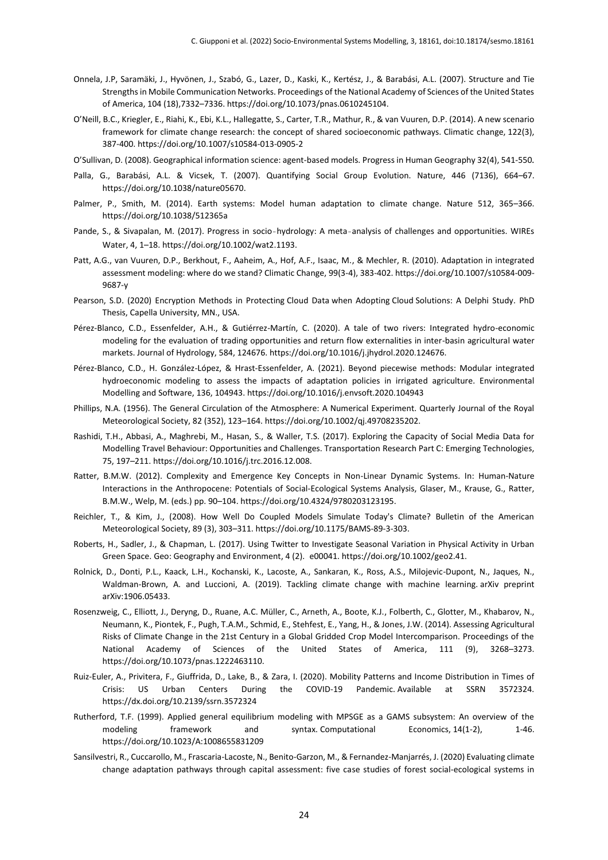- Onnela, J.P, Saramäki, J., Hyvönen, J., Szabó, G., Lazer, D., Kaski, K., Kertész, J., & Barabási, A.L. (2007). Structure and Tie Strengths in Mobile Communication Networks. Proceedings of the National Academy of Sciences of the United States of America, 104 (18),7332–7336. https://doi.org/10.1073/pnas.0610245104.
- O'Neill, B.C., Kriegler, E., Riahi, K., Ebi, K.L., Hallegatte, S., Carter, T.R., Mathur, R., & van Vuuren, D.P. (2014). A new scenario framework for climate change research: the concept of shared socioeconomic pathways. Climatic change, 122(3), 387-400. https://doi.org/10.1007/s10584-013-0905-2
- O'Sullivan, D. (2008). Geographical information science: agent-based models. Progress in Human Geography 32(4), 541-550*.*
- Palla, G., Barabási, A.L. & Vicsek, T. (2007). Quantifying Social Group Evolution. Nature, 446 (7136), 664–67. https://doi.org/10.1038/nature05670.
- Palmer, P., Smith, M. (2014). Earth systems: Model human adaptation to climate change. Nature 512, 365–366. <https://doi.org/10.1038/512365a>
- Pande, S., & Sivapalan, M. (2017). Progress in socio-hydrology: A meta-analysis of challenges and opportunities. WIREs Water, 4, 1–18. https://doi.org/10.1002/wat2.1193.
- Patt, A.G., van Vuuren, D.P., Berkhout, F., Aaheim, A., Hof, A.F., Isaac, M., & Mechler, R. (2010). Adaptation in integrated assessment modeling: where do we stand? Climatic Change, 99(3-4), 383-402. https://doi.org/10.1007/s10584-009- 9687-y
- Pearson, S.D. (2020) Encryption Methods in Protecting Cloud Data when Adopting Cloud Solutions: A Delphi Study. PhD Thesis, Capella University, MN., USA.
- Pérez-Blanco, C.D., Essenfelder, A.H., & Gutiérrez-Martín, C. (2020). A tale of two rivers: Integrated hydro-economic modeling for the evaluation of trading opportunities and return flow externalities in inter-basin agricultural water markets. Journal of Hydrology, 584, 124676. https://doi.org/10.1016/j.jhydrol.2020.124676.
- Pérez-Blanco, C.D., H. González-López, & Hrast-Essenfelder, A. (2021). Beyond piecewise methods: Modular integrated hydroeconomic modeling to assess the impacts of adaptation policies in irrigated agriculture. Environmental Modelling and Software, 136, 104943. https://doi.org/10.1016/j.envsoft.2020.104943
- Phillips, N.A. (1956). The General Circulation of the Atmosphere: A Numerical Experiment. Quarterly Journal of the Royal Meteorological Society, 82 (352), 123–164. https://doi.org/10.1002/qj.49708235202.
- Rashidi, T.H., Abbasi, A., Maghrebi, M., Hasan, S., & Waller, T.S. (2017). Exploring the Capacity of Social Media Data for Modelling Travel Behaviour: Opportunities and Challenges. Transportation Research Part C: Emerging Technologies, 75, 197–211. https://doi.org/10.1016/j.trc.2016.12.008.
- Ratter, B.M.W. (2012). Complexity and Emergence Key Concepts in Non-Linear Dynamic Systems. In: Human-Nature Interactions in the Anthropocene: Potentials of Social-Ecological Systems Analysis, Glaser, M., Krause, G., Ratter, B.M.W., Welp, M. (eds.) pp. 90–104. https://doi.org/10.4324/9780203123195.
- Reichler, T., & Kim, J., (2008). How Well Do Coupled Models Simulate Today's Climate? Bulletin of the American Meteorological Society, 89 (3), 303–311. https://doi.org/10.1175/BAMS-89-3-303.
- Roberts, H., Sadler, J., & Chapman, L. (2017). Using Twitter to Investigate Seasonal Variation in Physical Activity in Urban Green Space. Geo: Geography and Environment, 4 (2). e00041. https://doi.org/10.1002/geo2.41.
- Rolnick, D., Donti, P.L., Kaack, L.H., Kochanski, K., Lacoste, A., Sankaran, K., Ross, A.S., Milojevic-Dupont, N., Jaques, N., Waldman-Brown, A. and Luccioni, A. (2019). Tackling climate change with machine learning arXiv preprint arXiv:1906.05433.
- Rosenzweig, C., Elliott, J., Deryng, D., Ruane, A.C. Müller, C., Arneth, A., Boote, K.J., Folberth, C., Glotter, M., Khabarov, N., Neumann, K., Piontek, F., Pugh, T.A.M., Schmid, E., Stehfest, E., Yang, H., & Jones, J.W. (2014). Assessing Agricultural Risks of Climate Change in the 21st Century in a Global Gridded Crop Model Intercomparison. Proceedings of the National Academy of Sciences of the United States of America, 111 (9), 3268–3273. https://doi.org/10.1073/pnas.1222463110.
- Ruiz-Euler, A., Privitera, F., Giuffrida, D., Lake, B., & Zara, I. (2020). Mobility Patterns and Income Distribution in Times of Crisis: US Urban Centers During the COVID-19 Pandemic. Available at SSRN 3572324. https://dx.doi.org/10.2139/ssrn.3572324
- Rutherford, T.F. (1999). Applied general equilibrium modeling with MPSGE as a GAMS subsystem: An overview of the modeling framework and syntax. Computational Economics, 14(1-2), 1-46. https://doi.org/10.1023/A:1008655831209
- Sansilvestri, R., Cuccarollo, M., Frascaria-Lacoste, N., Benito-Garzon, M., & Fernandez-Manjarrés, J. (2020) Evaluating climate change adaptation pathways through capital assessment: five case studies of forest social-ecological systems in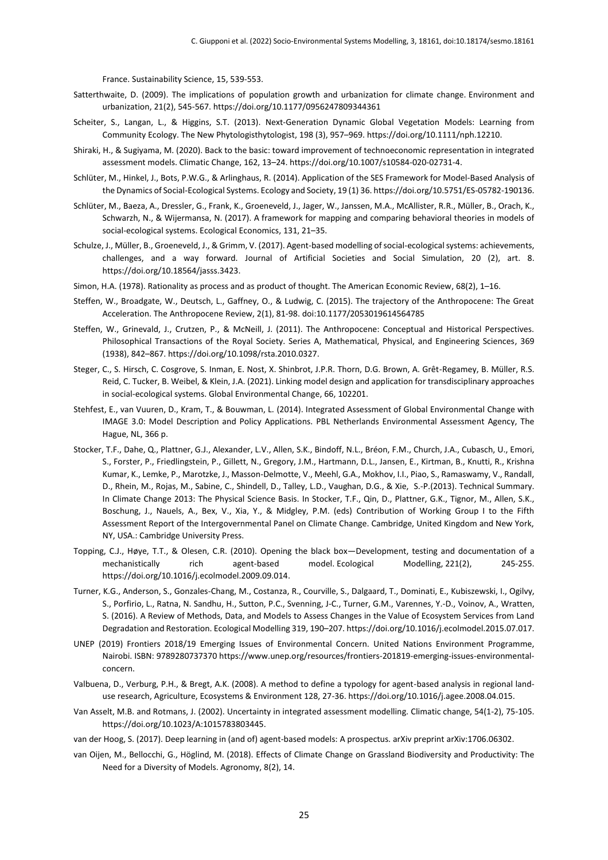France. Sustainability Science, 15, 539-553.

- Satterthwaite, D. (2009). The implications of population growth and urbanization for climate change. Environment and urbanization, 21(2), 545-567. https://doi.org/10.1177/0956247809344361
- Scheiter, S., Langan, L., & Higgins, S.T. (2013). Next-Generation Dynamic Global Vegetation Models: Learning from Community Ecology. The New Phytologisthytologist, 198 (3), 957–969. https://doi.org/10.1111/nph.12210.
- Shiraki, H., & Sugiyama, M. (2020). Back to the basic: toward improvement of technoeconomic representation in integrated assessment models. Climatic Change, 162, 13–24. https://doi.org/10.1007/s10584-020-02731-4.
- Schlüter, M., Hinkel, J., Bots, P.W.G., & Arlinghaus, R. (2014). Application of the SES Framework for Model-Based Analysis of the Dynamics of Social-Ecological Systems. Ecology and Society, 19 (1) 36. https://doi.org/10.5751/ES-05782-190136.
- Schlüter, M., Baeza, A., Dressler, G., Frank, K., Groeneveld, J., Jager, W., Janssen, M.A., McAllister, R.R., Müller, B., Orach, K., Schwarzh, N., & Wijermansa, N. (2017). A framework for mapping and comparing behavioral theories in models of social-ecological systems. Ecological Economics, 131, 21–35.
- Schulze, J., Müller, B., Groeneveld, J., & Grimm, V. (2017). Agent-based modelling of social-ecological systems: achievements, challenges, and a way forward. Journal of Artificial Societies and Social Simulation, 20 (2), art. 8. https://doi.org/10.18564/jasss.3423.
- Simon, H.A. (1978). Rationality as process and as product of thought. The American Economic Review, 68(2), 1–16.
- Steffen, W., Broadgate, W., Deutsch, L., Gaffney, O., & Ludwig, C. (2015). The trajectory of the Anthropocene: The Great Acceleration. The Anthropocene Review, 2(1), 81-98. doi:10.1177/2053019614564785
- Steffen, W., Grinevald, J., Crutzen, P., & McNeill, J. (2011). The Anthropocene: Conceptual and Historical Perspectives. Philosophical Transactions of the Royal Society. Series A, Mathematical, Physical, and Engineering Sciences, 369 (1938), 842–867. https://doi.org/10.1098/rsta.2010.0327.
- Steger, C., S. Hirsch, C. Cosgrove, S. Inman, E. Nost, X. Shinbrot, J.P.R. Thorn, D.G. Brown, A. Grêt-Regamey, B. Müller, R.S. Reid, C. Tucker, B. Weibel, & Klein, J.A. (2021). Linking model design and application for transdisciplinary approaches in social-ecological systems. Global Environmental Change, 66, 102201.
- Stehfest, E., van Vuuren, D., Kram, T., & Bouwman, L. (2014). Integrated Assessment of Global Environmental Change with IMAGE 3.0: Model Description and Policy Applications. PBL Netherlands Environmental Assessment Agency, The Hague, NL, 366 p.
- Stocker, T.F., Dahe, Q., Plattner, G.J., Alexander, L.V., Allen, S.K., Bindoff, N.L., Bréon, F.M., Church, J.A., Cubasch, U., Emori, S., Forster, P., Friedlingstein, P., Gillett, N., Gregory, J.M., Hartmann, D.L., Jansen, E., Kirtman, B., Knutti, R., Krishna Kumar, K., Lemke, P., Marotzke, J., Masson-Delmotte, V., Meehl, G.A., Mokhov, I.I., Piao, S., Ramaswamy, V., Randall, D., Rhein, M., Rojas, M., Sabine, C., Shindell, D., Talley, L.D., Vaughan, D.G., & Xie, S.-P.(2013). Technical Summary. In Climate Change 2013: The Physical Science Basis. In Stocker, T.F., Qin, D., Plattner, G.K., Tignor, M., Allen, S.K., Boschung, J., Nauels, A., Bex, V., Xia, Y., & Midgley, P.M. (eds) Contribution of Working Group I to the Fifth Assessment Report of the Intergovernmental Panel on Climate Change. Cambridge, United Kingdom and New York, NY, USA.: Cambridge University Press.
- Topping, C.J., Høye, T.T., & Olesen, C.R. (2010). Opening the black box—Development, testing and documentation of a mechanistically rich agent-based model. Ecological Modelling, 221(2), 245-255. https://doi.org/10.1016/j.ecolmodel.2009.09.014.
- Turner, K.G., Anderson, S., Gonzales-Chang, M., Costanza, R., Courville, S., Dalgaard, T., Dominati, E., Kubiszewski, I., Ogilvy, S., Porfirio, L., Ratna, N. Sandhu, H., Sutton, P.C., Svenning, J-C., Turner, G.M., Varennes, Y.-D., Voinov, A., Wratten, S. (2016). A Review of Methods, Data, and Models to Assess Changes in the Value of Ecosystem Services from Land Degradation and Restoration. Ecological Modelling 319, 190–207. https://doi.org/10.1016/j.ecolmodel.2015.07.017.
- UNEP (2019) Frontiers 2018/19 Emerging Issues of Environmental Concern. United Nations Environment Programme, Nairobi. ISBN: 9789280737370 https://www.unep.org/resources/frontiers-201819-emerging-issues-environmentalconcern.
- Valbuena, D., Verburg, P.H., & Bregt, A.K. (2008). A method to define a typology for agent-based analysis in regional landuse research, Agriculture, Ecosystems & Environment 128, 27-36. https://doi.org/10.1016/j.agee.2008.04.015.
- Van Asselt, M.B. and Rotmans, J. (2002). Uncertainty in integrated assessment modelling. Climatic change, 54(1-2), 75-105. https://doi.org/10.1023/A:1015783803445.
- van der Hoog, S. (2017). Deep learning in (and of) agent-based models: A prospectus. arXiv preprint arXiv:1706.06302.
- van Oijen, M., Bellocchi, G., Höglind, M. (2018). Effects of Climate Change on Grassland Biodiversity and Productivity: The Need for a Diversity of Models. Agronomy, 8(2), 14.